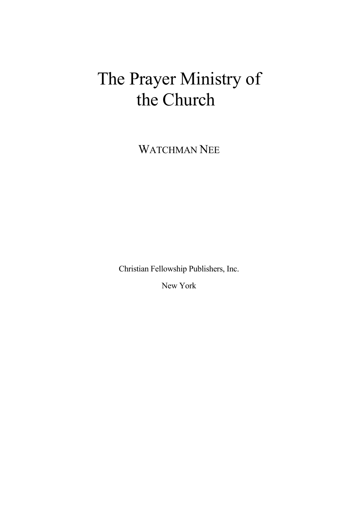# The Prayer Ministry of the Church

WATCHMAN NEE

Christian Fellowship Publishers, Inc.

New York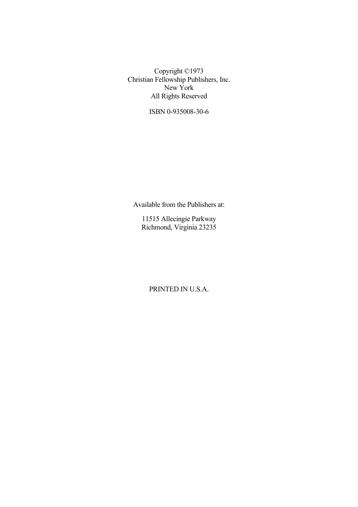Copyright ©1973 Christian Fellowship Publishers, Inc. New York All Rights Reserved

ISBN 0-935008-30-6

Available from the Publishers at:

11515 Allecingie Parkway Richmond, Virginia 23235

PRINTED IN U.S.A.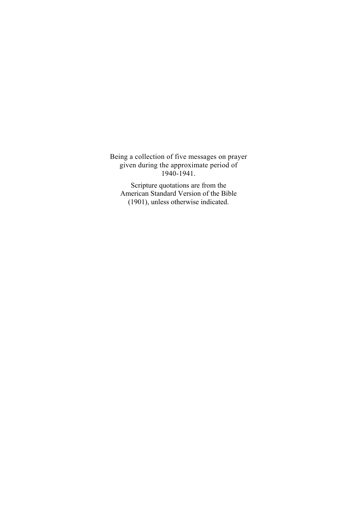Being a collection of five messages on prayer given during the approximate period of 1940-1941.

Scripture quotations are from the American Standard Version of the Bible (1901), unless otherwise indicated.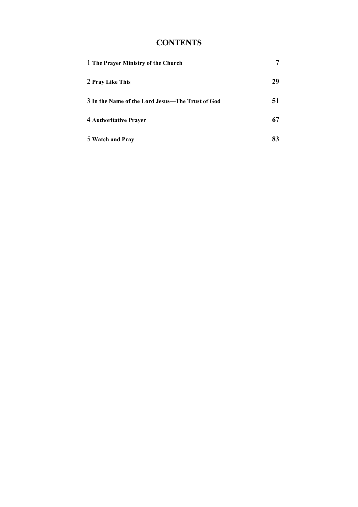## **CONTENTS**

| 1 The Prayer Ministry of the Church              |    |
|--------------------------------------------------|----|
| 2 Pray Like This                                 | 29 |
| 3 In the Name of the Lord Jesus—The Trust of God | 51 |
| 4 Authoritative Prayer                           | 67 |
| 5 Watch and Pray                                 | 83 |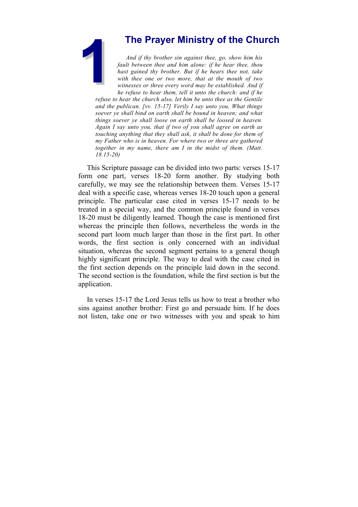# **1The Prayer Ministry of the Church**

<span id="page-6-0"></span>*And if thy brother sin against thee, go, show him his fault between thee and him alone: if he hear thee, thou hast gained thy brother. But if he hears thee not, take with thee one or two more, that at the mouth of two witnesses or three every word may be established. And if he refuse to hear them, tell it unto the church: and if he refuse to hear the church also, let him be unto thee as the Gentile and the publican. [vv. 15-17] Verily I say unto you, What things soever ye shall bind on earth shall be bound in heaven; and what things soever ye shall loose on earth shall be loosed in heaven. Again I say unto you, that if two of you shall agree on earth as touching anything that they shall ask, it shall be done for them of my Father who is in heaven. For where two or three are gathered together in my name, there am I in the midst of them. (Matt. 18.15-20)*

This Scripture passage can be divided into two parts: verses 15-17 form one part, verses 18-20 form another. By studying both carefully, we may see the relationship between them. Verses 15-17 deal with a specific case, whereas verses 18-20 touch upon a general principle. The particular case cited in verses 15-17 needs to be treated in a special way, and the common principle found in verses 18-20 must be diligently learned. Though the case is mentioned first whereas the principle then follows, nevertheless the words in the second part loom much larger than those in the first part. In other words, the first section is only concerned with an individual situation, whereas the second segment pertains to a general though highly significant principle. The way to deal with the case cited in the first section depends on the principle laid down in the second. The second section is the foundation, while the first section is but the application.

In verses 15-17 the Lord Jesus tells us how to treat a brother who sins against another brother: First go and persuade him. If he does not listen, take one or two witnesses with you and speak to him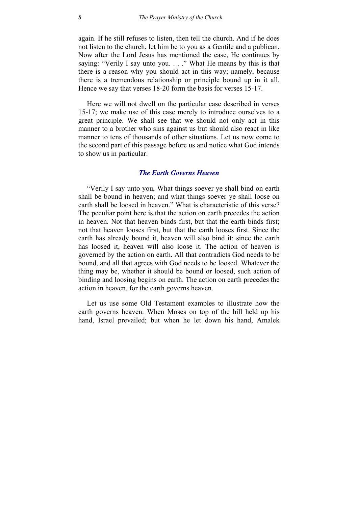again. If he still refuses to listen, then tell the church. And if he does not listen to the church, let him be to you as a Gentile and a publican. Now after the Lord Jesus has mentioned the case, He continues by saying: "Verily I say unto you. . . ." What He means by this is that there is a reason why you should act in this way; namely, because there is a tremendous relationship or principle bound up in it all. Hence we say that verses 18-20 form the basis for verses 15-17.

Here we will not dwell on the particular case described in verses 15-17; we make use of this case merely to introduce ourselves to a great principle. We shall see that we should not only act in this manner to a brother who sins against us but should also react in like manner to tens of thousands of other situations. Let us now come to the second part of this passage before us and notice what God intends to show us in particular.

#### *The Earth Governs Heaven*

"Verily I say unto you, What things soever ye shall bind on earth shall be bound in heaven; and what things soever ye shall loose on earth shall be loosed in heaven." What is characteristic of this verse? The peculiar point here is that the action on earth precedes the action in heaven. Not that heaven binds first, but that the earth binds first; not that heaven looses first, but that the earth looses first. Since the earth has already bound it, heaven will also bind it; since the earth has loosed it, heaven will also loose it. The action of heaven is governed by the action on earth. All that contradicts God needs to be bound, and all that agrees with God needs to be loosed. Whatever the thing may be, whether it should be bound or loosed, such action of binding and loosing begins on earth. The action on earth precedes the action in heaven, for the earth governs heaven.

Let us use some Old Testament examples to illustrate how the earth governs heaven. When Moses on top of the hill held up his hand, Israel prevailed; but when he let down his hand, Amalek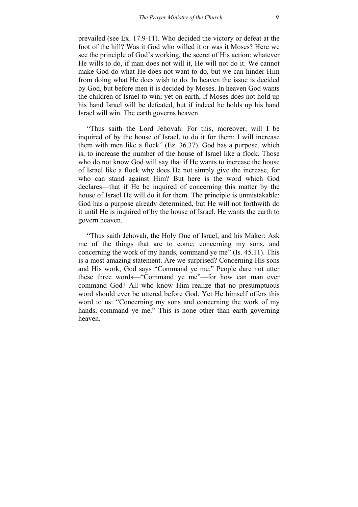prevailed (see Ex. 17.9-11). Who decided the victory or defeat at the foot of the hill? Was it God who willed it or was it Moses? Here we see the principle of God's working, the secret of His action: whatever He wills to do, if man does not will it, He will not do it. We cannot make God do what He does not want to do, but we can hinder Him from doing what He does wish to do. In heaven the issue is decided by God, but before men it is decided by Moses. In heaven God wants the children of Israel to win; yet on earth, if Moses does not hold up his hand Israel will be defeated, but if indeed he holds up his hand Israel will win. The earth governs heaven.

"Thus saith the Lord Jehovah: For this, moreover, will I be inquired of by the house of Israel, to do it for them: I will increase them with men like a flock" (Ez. 36.37). God has a purpose, which is, to increase the number of the house of Israel like a flock. Those who do not know God will say that if He wants to increase the house of Israel like a flock why does He not simply give the increase, for who can stand against Him? But here is the word which God declares—that if He be inquired of concerning this matter by the house of Israel He will do it for them. The principle is unmistakable: God has a purpose already determined, but He will not forthwith do it until He is inquired of by the house of Israel. He wants the earth to govern heaven.

"Thus saith Jehovah, the Holy One of Israel, and his Maker: Ask me of the things that are to come; concerning my sons, and concerning the work of my hands, command ye me" (Is. 45.11). This is a most amazing statement. Are we surprised? Concerning His sons and His work, God says "Command ye me." People dare not utter these three words—"Command ye me"—for how can man ever command God? All who know Him realize that no presumptuous word should ever be uttered before God. Yet He himself offers this word to us: "Concerning my sons and concerning the work of my hands, command ye me." This is none other than earth governing heaven.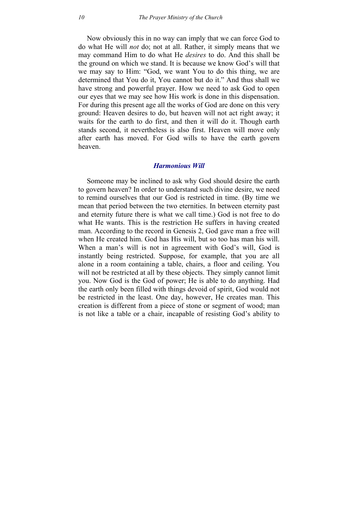Now obviously this in no way can imply that we can force God to do what He will *not* do; not at all. Rather, it simply means that we may command Him to do what He *desires* to do. And this shall be the ground on which we stand. It is because we know God's will that we may say to Him: "God, we want You to do this thing, we are determined that You do it, You cannot but do it." And thus shall we have strong and powerful prayer. How we need to ask God to open our eyes that we may see how His work is done in this dispensation. For during this present age all the works of God are done on this very ground: Heaven desires to do, but heaven will not act right away; it waits for the earth to do first, and then it will do it. Though earth stands second, it nevertheless is also first. Heaven will move only after earth has moved. For God wills to have the earth govern heaven.

#### *Harmonious Will*

Someone may be inclined to ask why God should desire the earth to govern heaven? In order to understand such divine desire, we need to remind ourselves that our God is restricted in time. (By time we mean that period between the two eternities. In between eternity past and eternity future there is what we call time.) God is not free to do what He wants. This is the restriction He suffers in having created man. According to the record in Genesis 2, God gave man a free will when He created him. God has His will, but so too has man his will. When a man's will is not in agreement with God's will, God is instantly being restricted. Suppose, for example, that you are all alone in a room containing a table, chairs, a floor and ceiling. You will not be restricted at all by these objects. They simply cannot limit you. Now God is the God of power; He is able to do anything. Had the earth only been filled with things devoid of spirit, God would not be restricted in the least. One day, however, He creates man. This creation is different from a piece of stone or segment of wood; man is not like a table or a chair, incapable of resisting God's ability to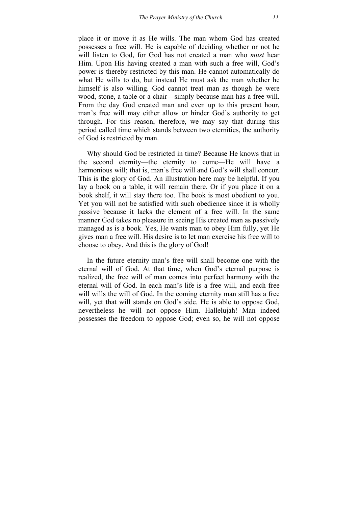place it or move it as He wills. The man whom God has created possesses a free will. He is capable of deciding whether or not he will listen to God, for God has not created a man who *must* hear Him. Upon His having created a man with such a free will, God's power is thereby restricted by this man. He cannot automatically do what He wills to do, but instead He must ask the man whether he himself is also willing. God cannot treat man as though he were wood, stone, a table or a chair—simply because man has a free will. From the day God created man and even up to this present hour, man's free will may either allow or hinder God's authority to get through. For this reason, therefore, we may say that during this period called time which stands between two eternities, the authority of God is restricted by man.

Why should God be restricted in time? Because He knows that in the second eternity—the eternity to come—He will have a harmonious will; that is, man's free will and God's will shall concur. This is the glory of God. An illustration here may be helpful. If you lay a book on a table, it will remain there. Or if you place it on a book shelf, it will stay there too. The book is most obedient to you. Yet you will not be satisfied with such obedience since it is wholly passive because it lacks the element of a free will. In the same manner God takes no pleasure in seeing His created man as passively managed as is a book. Yes, He wants man to obey Him fully, yet He gives man a free will. His desire is to let man exercise his free will to choose to obey. And this is the glory of God!

In the future eternity man's free will shall become one with the eternal will of God. At that time, when God's eternal purpose is realized, the free will of man comes into perfect harmony with the eternal will of God. In each man's life is a free will, and each free will wills the will of God. In the coming eternity man still has a free will, yet that will stands on God's side. He is able to oppose God, nevertheless he will not oppose Him. Hallelujah! Man indeed possesses the freedom to oppose God; even so, he will not oppose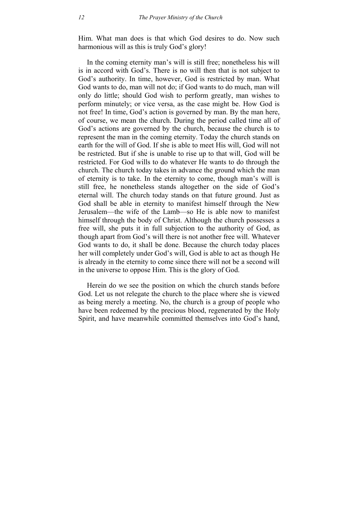Him. What man does is that which God desires to do. Now such harmonious will as this is truly God's glory!

In the coming eternity man's will is still free; nonetheless his will is in accord with God's. There is no will then that is not subject to God's authority. In time, however, God is restricted by man. What God wants to do, man will not do; if God wants to do much, man will only do little; should God wish to perform greatly, man wishes to perform minutely; or vice versa, as the case might be. How God is not free! In time, God's action is governed by man. By the man here, of course, we mean the church. During the period called time all of God's actions are governed by the church, because the church is to represent the man in the coming eternity. Today the church stands on earth for the will of God. If she is able to meet His will, God will not be restricted. But if she is unable to rise up to that will, God will be restricted. For God wills to do whatever He wants to do through the church. The church today takes in advance the ground which the man of eternity is to take. In the eternity to come, though man's will is still free, he nonetheless stands altogether on the side of God's eternal will. The church today stands on that future ground. Just as God shall be able in eternity to manifest himself through the New Jerusalem—the wife of the Lamb—so He is able now to manifest himself through the body of Christ. Although the church possesses a free will, she puts it in full subjection to the authority of God, as though apart from God's will there is not another free will. Whatever God wants to do, it shall be done. Because the church today places her will completely under God's will, God is able to act as though He is already in the eternity to come since there will not be a second will in the universe to oppose Him. This is the glory of God.

Herein do we see the position on which the church stands before God. Let us not relegate the church to the place where she is viewed as being merely a meeting. No, the church is a group of people who have been redeemed by the precious blood, regenerated by the Holy Spirit, and have meanwhile committed themselves into God's hand,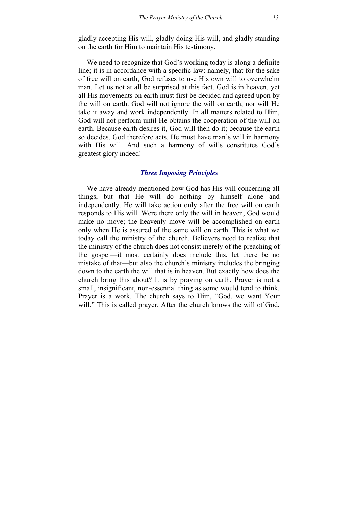gladly accepting His will, gladly doing His will, and gladly standing on the earth for Him to maintain His testimony.

We need to recognize that God's working today is along a definite line; it is in accordance with a specific law: namely, that for the sake of free will on earth, God refuses to use His own will to overwhelm man. Let us not at all be surprised at this fact. God is in heaven, yet all His movements on earth must first be decided and agreed upon by the will on earth. God will not ignore the will on earth, nor will He take it away and work independently. In all matters related to Him, God will not perform until He obtains the cooperation of the will on earth. Because earth desires it, God will then do it; because the earth so decides, God therefore acts. He must have man's will in harmony with His will. And such a harmony of wills constitutes God's greatest glory indeed!

#### *Three Imposing Principles*

We have already mentioned how God has His will concerning all things, but that He will do nothing by himself alone and independently. He will take action only after the free will on earth responds to His will. Were there only the will in heaven, God would make no move; the heavenly move will be accomplished on earth only when He is assured of the same will on earth. This is what we today call the ministry of the church. Believers need to realize that the ministry of the church does not consist merely of the preaching of the gospel—it most certainly does include this, let there be no mistake of that—but also the church's ministry includes the bringing down to the earth the will that is in heaven. But exactly how does the church bring this about? It is by praying on earth. Prayer is not a small, insignificant, non-essential thing as some would tend to think. Prayer is a work. The church says to Him, "God, we want Your will." This is called prayer. After the church knows the will of God,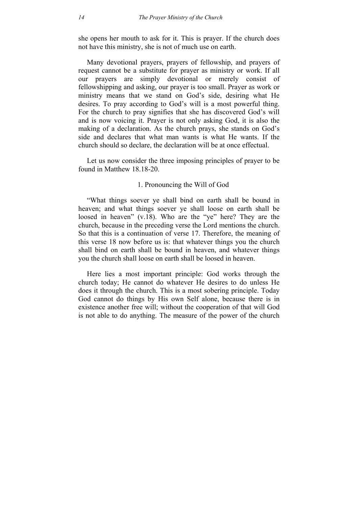she opens her mouth to ask for it. This is prayer. If the church does not have this ministry, she is not of much use on earth.

Many devotional prayers, prayers of fellowship, and prayers of request cannot be a substitute for prayer as ministry or work. If all our prayers are simply devotional or merely consist of fellowshipping and asking, our prayer is too small. Prayer as work or ministry means that we stand on God's side, desiring what He desires. To pray according to God's will is a most powerful thing. For the church to pray signifies that she has discovered God's will and is now voicing it. Prayer is not only asking God, it is also the making of a declaration. As the church prays, she stands on God's side and declares that what man wants is what He wants. If the church should so declare, the declaration will be at once effectual.

Let us now consider the three imposing principles of prayer to be found in Matthew 18.18-20.

### 1. Pronouncing the Will of God

"What things soever ye shall bind on earth shall be bound in heaven; and what things soever ye shall loose on earth shall be loosed in heaven" (v.18). Who are the "ye" here? They are the church, because in the preceding verse the Lord mentions the church. So that this is a continuation of verse 17. Therefore, the meaning of this verse 18 now before us is: that whatever things you the church shall bind on earth shall be bound in heaven, and whatever things you the church shall loose on earth shall be loosed in heaven.

Here lies a most important principle: God works through the church today; He cannot do whatever He desires to do unless He does it through the church. This is a most sobering principle. Today God cannot do things by His own Self alone, because there is in existence another free will; without the cooperation of that will God is not able to do anything. The measure of the power of the church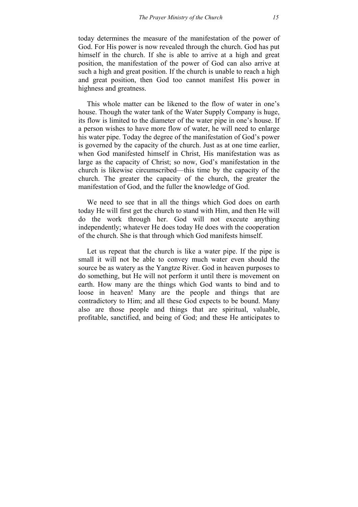today determines the measure of the manifestation of the power of God. For His power is now revealed through the church. God has put himself in the church. If she is able to arrive at a high and great position, the manifestation of the power of God can also arrive at such a high and great position. If the church is unable to reach a high and great position, then God too cannot manifest His power in highness and greatness.

This whole matter can be likened to the flow of water in one's house. Though the water tank of the Water Supply Company is huge, its flow is limited to the diameter of the water pipe in one's house. If a person wishes to have more flow of water, he will need to enlarge his water pipe. Today the degree of the manifestation of God's power is governed by the capacity of the church. Just as at one time earlier, when God manifested himself in Christ, His manifestation was as large as the capacity of Christ; so now, God's manifestation in the church is likewise circumscribed—this time by the capacity of the church. The greater the capacity of the church, the greater the manifestation of God, and the fuller the knowledge of God.

We need to see that in all the things which God does on earth today He will first get the church to stand with Him, and then He will do the work through her. God will not execute anything independently; whatever He does today He does with the cooperation of the church. She is that through which God manifests himself.

Let us repeat that the church is like a water pipe. If the pipe is small it will not be able to convey much water even should the source be as watery as the Yangtze River. God in heaven purposes to do something, but He will not perform it until there is movement on earth. How many are the things which God wants to bind and to loose in heaven! Many are the people and things that are contradictory to Him; and all these God expects to be bound. Many also are those people and things that are spiritual, valuable, profitable, sanctified, and being of God; and these He anticipates to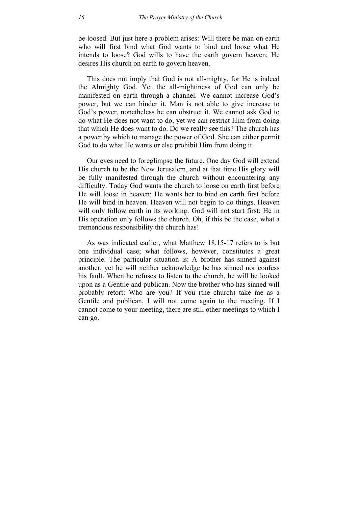be loosed. But just here a problem arises: Will there be man on earth who will first bind what God wants to bind and loose what He intends to loose? God wills to have the earth govern heaven; He desires His church on earth to govern heaven.

This does not imply that God is not all-mighty, for He is indeed the Almighty God. Yet the all-mightiness of God can only be manifested on earth through a channel. We cannot increase God's power, but we can hinder it. Man is not able to give increase to God's power, nonetheless he can obstruct it. We cannot ask God to do what He does not want to do, yet we can restrict Him from doing that which He does want to do. Do we really see this? The church has a power by which to manage the power of God. She can either permit God to do what He wants or else prohibit Him from doing it.

Our eyes need to foreglimpse the future. One day God will extend His church to be the New Jerusalem, and at that time His glory will be fully manifested through the church without encountering any difficulty. Today God wants the church to loose on earth first before He will loose in heaven; He wants her to bind on earth first before He will bind in heaven. Heaven will not begin to do things. Heaven will only follow earth in its working. God will not start first; He in His operation only follows the church. Oh, if this be the case, what a tremendous responsibility the church has!

As was indicated earlier, what Matthew 18.15-17 refers to is but one individual case; what follows, however, constitutes a great principle. The particular situation is: A brother has sinned against another, yet he will neither acknowledge he has sinned nor confess his fault. When he refuses to listen to the church, he will be looked upon as a Gentile and publican. Now the brother who has sinned will probably retort: Who are you? If you (the church) take me as a Gentile and publican, I will not come again to the meeting. If I cannot come to your meeting, there are still other meetings to which I can go.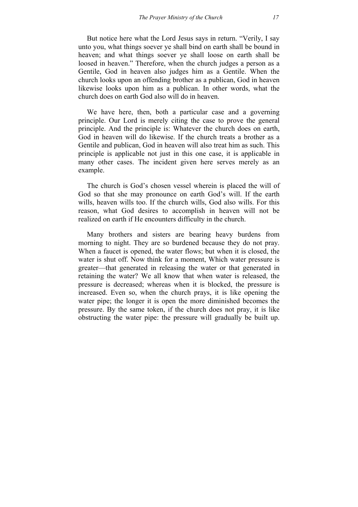But notice here what the Lord Jesus says in return. "Verily, I say unto you, what things soever ye shall bind on earth shall be bound in heaven; and what things soever ye shall loose on earth shall be loosed in heaven." Therefore, when the church judges a person as a Gentile, God in heaven also judges him as a Gentile. When the church looks upon an offending brother as a publican, God in heaven likewise looks upon him as a publican. In other words, what the church does on earth God also will do in heaven.

We have here, then, both a particular case and a governing principle. Our Lord is merely citing the case to prove the general principle. And the principle is: Whatever the church does on earth, God in heaven will do likewise. If the church treats a brother as a Gentile and publican, God in heaven will also treat him as such. This principle is applicable not just in this one case, it is applicable in many other cases. The incident given here serves merely as an example.

The church is God's chosen vessel wherein is placed the will of God so that she may pronounce on earth God's will. If the earth wills, heaven wills too. If the church wills, God also wills. For this reason, what God desires to accomplish in heaven will not be realized on earth if He encounters difficulty in the church.

Many brothers and sisters are bearing heavy burdens from morning to night. They are so burdened because they do not pray. When a faucet is opened, the water flows; but when it is closed, the water is shut off. Now think for a moment, Which water pressure is greater—that generated in releasing the water or that generated in retaining the water? We all know that when water is released, the pressure is decreased; whereas when it is blocked, the pressure is increased. Even so, when the church prays, it is like opening the water pipe; the longer it is open the more diminished becomes the pressure. By the same token, if the church does not pray, it is like obstructing the water pipe: the pressure will gradually be built up.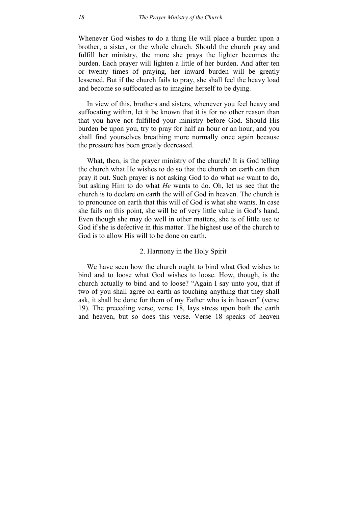Whenever God wishes to do a thing He will place a burden upon a brother, a sister, or the whole church. Should the church pray and fulfill her ministry, the more she prays the lighter becomes the burden. Each prayer will lighten a little of her burden. And after ten or twenty times of praying, her inward burden will be greatly lessened. But if the church fails to pray, she shall feel the heavy load and become so suffocated as to imagine herself to be dying.

In view of this, brothers and sisters, whenever you feel heavy and suffocating within, let it be known that it is for no other reason than that you have not fulfilled your ministry before God. Should His burden be upon you, try to pray for half an hour or an hour, and you shall find yourselves breathing more normally once again because the pressure has been greatly decreased.

What, then, is the prayer ministry of the church? It is God telling the church what He wishes to do so that the church on earth can then pray it out. Such prayer is not asking God to do what *we* want to do, but asking Him to do what *He* wants to do. Oh, let us see that the church is to declare on earth the will of God in heaven. The church is to pronounce on earth that this will of God is what she wants. In case she fails on this point, she will be of very little value in God's hand. Even though she may do well in other matters, she is of little use to God if she is defective in this matter. The highest use of the church to God is to allow His will to be done on earth.

#### 2. Harmony in the Holy Spirit

We have seen how the church ought to bind what God wishes to bind and to loose what God wishes to loose. How, though, is the church actually to bind and to loose? "Again I say unto you, that if two of you shall agree on earth as touching anything that they shall ask, it shall be done for them of my Father who is in heaven" (verse 19). The preceding verse, verse 18, lays stress upon both the earth and heaven, but so does this verse. Verse 18 speaks of heaven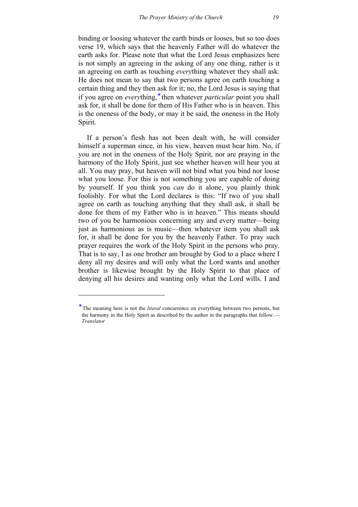binding or loosing whatever the earth binds or looses, but so too does verse 19, which says that the heavenly Father will do whatever the earth asks for. Please note that what the Lord Jesus emphasizes here is not simply an agreeing in the asking of any one thing, rather is it an agreeing on earth as touching *every*thing whatever they shall ask. He does not mean to say that two persons agree on earth touching a certain thing and they then ask for it; no, the Lord Jesus is saying that if you agree on *every*thing,<sup>∗</sup> then whatever *particular* point you shall ask for, it shall be done for them of His Father who is in heaven. This is the oneness of the body, or may it be said, the oneness in the Holy Spirit.

If a person's flesh has not been dealt with, he will consider himself a superman since, in his view, heaven must hear him. No, if you are not in the oneness of the Holy Spirit, nor are praying in the harmony of the Holy Spirit, just see whether heaven will hear you at all. You may pray, but heaven will not bind what you bind nor loose what you loose. For this is not something you are capable of doing by yourself. If you think you *can* do it alone, you plainly think foolishly. For what the Lord declares is this: "If two of you shall agree on earth as touching anything that they shall ask, it shall be done for them of my Father who is in heaven." This means should two of you be harmonious concerning any and every matter—being just as harmonious as is music—then whatever item you shall ask for, it shall be done for you by the heavenly Father. To pray such prayer requires the work of the Holy Spirit in the persons who pray. That is to say, I as one brother am brought by God to a place where I deny all my desires and will only what the Lord wants and another brother is likewise brought by the Holy Spirit to that place of denying all his desires and wanting only what the Lord wills. I and

-

<sup>∗</sup> The meaning here is not the *literal* concurrence on everything between two persons, but the harmony in the Holy Spirit as described by the author in the paragraphs that follow.— *Translator*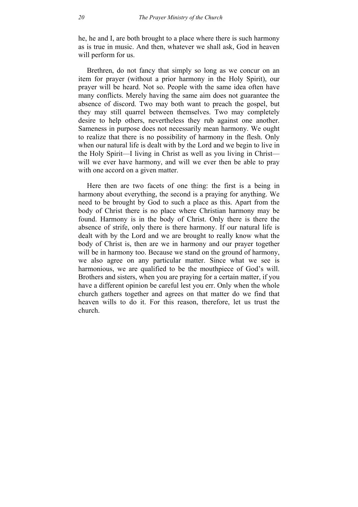he, he and I, are both brought to a place where there is such harmony as is true in music. And then, whatever we shall ask, God in heaven will perform for us.

Brethren, do not fancy that simply so long as we concur on an item for prayer (without a prior harmony in the Holy Spirit), our prayer will be heard. Not so. People with the same idea often have many conflicts. Merely having the same aim does not guarantee the absence of discord. Two may both want to preach the gospel, but they may still quarrel between themselves. Two may completely desire to help others, nevertheless they rub against one another. Sameness in purpose does not necessarily mean harmony. We ought to realize that there is no possibility of harmony in the flesh. Only when our natural life is dealt with by the Lord and we begin to live in the Holy Spirit—I living in Christ as well as you living in Christ will we ever have harmony, and will we ever then be able to pray with one accord on a given matter.

Here then are two facets of one thing: the first is a being in harmony about everything, the second is a praying for anything. We need to be brought by God to such a place as this. Apart from the body of Christ there is no place where Christian harmony may be found. Harmony is in the body of Christ. Only there is there the absence of strife, only there is there harmony. If our natural life is dealt with by the Lord and we are brought to really know what the body of Christ is, then are we in harmony and our prayer together will be in harmony too. Because we stand on the ground of harmony, we also agree on any particular matter. Since what we see is harmonious, we are qualified to be the mouthpiece of God's will. Brothers and sisters, when you are praying for a certain matter, if you have a different opinion be careful lest you err. Only when the whole church gathers together and agrees on that matter do we find that heaven wills to do it. For this reason, therefore, let us trust the church.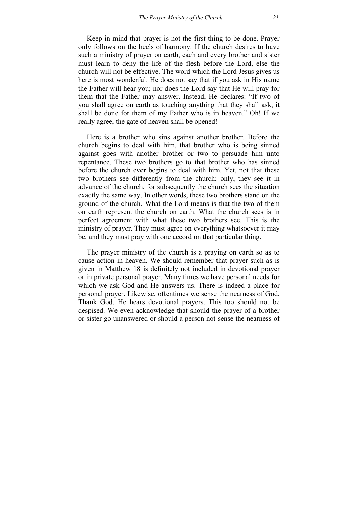Keep in mind that prayer is not the first thing to be done. Prayer only follows on the heels of harmony. If the church desires to have such a ministry of prayer on earth, each and every brother and sister must learn to deny the life of the flesh before the Lord, else the church will not be effective. The word which the Lord Jesus gives us here is most wonderful. He does not say that if you ask in His name the Father will hear you; nor does the Lord say that He will pray for them that the Father may answer. Instead, He declares: "If two of you shall agree on earth as touching anything that they shall ask, it shall be done for them of my Father who is in heaven." Oh! If we really agree, the gate of heaven shall be opened!

Here is a brother who sins against another brother. Before the church begins to deal with him, that brother who is being sinned against goes with another brother or two to persuade him unto repentance. These two brothers go to that brother who has sinned before the church ever begins to deal with him. Yet, not that these two brothers see differently from the church; only, they see it in advance of the church, for subsequently the church sees the situation exactly the same way. In other words, these two brothers stand on the ground of the church. What the Lord means is that the two of them on earth represent the church on earth. What the church sees is in perfect agreement with what these two brothers see. This is the ministry of prayer. They must agree on everything whatsoever it may be, and they must pray with one accord on that particular thing.

The prayer ministry of the church is a praying on earth so as to cause action in heaven. We should remember that prayer such as is given in Matthew 18 is definitely not included in devotional prayer or in private personal prayer. Many times we have personal needs for which we ask God and He answers us. There is indeed a place for personal prayer. Likewise, oftentimes we sense the nearness of God. Thank God, He hears devotional prayers. This too should not be despised. We even acknowledge that should the prayer of a brother or sister go unanswered or should a person not sense the nearness of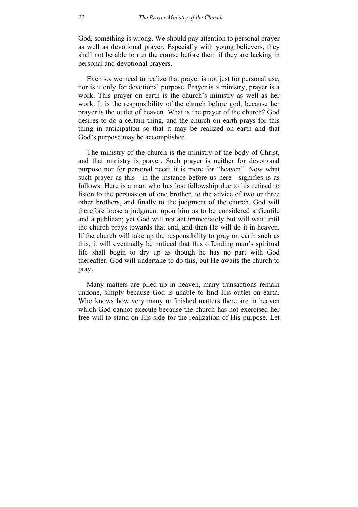God, something is wrong. We should pay attention to personal prayer as well as devotional prayer. Especially with young believers, they shall not be able to run the course before them if they are lacking in personal and devotional prayers.

Even so, we need to realize that prayer is not just for personal use, nor is it only for devotional purpose. Prayer is a ministry, prayer is a work. This prayer on earth is the church's ministry as well as her work. It is the responsibility of the church before god, because her prayer is the outlet of heaven. What is the prayer of the church? God desires to do a certain thing, and the church on earth prays for this thing in anticipation so that it may be realized on earth and that God's purpose may be accomplished.

The ministry of the church is the ministry of the body of Christ, and that ministry is prayer. Such prayer is neither for devotional purpose nor for personal need; it is more for "heaven". Now what such prayer as this—in the instance before us here—signifies is as follows: Here is a man who has lost fellowship due to his refusal to listen to the persuasion of one brother, to the advice of two or three other brothers, and finally to the judgment of the church. God will therefore loose a judgment upon him as to be considered a Gentile and a publican; yet God will not act immediately but will wait until the church prays towards that end, and then He will do it in heaven. If the church will take up the responsibility to pray on earth such as this, it will eventually be noticed that this offending man's spiritual life shall begin to dry up as though he has no part with God thereafter. God will undertake to do this, but He awaits the church to pray.

Many matters are piled up in heaven, many transactions remain undone, simply because God is unable to find His outlet on earth. Who knows how very many unfinished matters there are in heaven which God cannot execute because the church has not exercised her free will to stand on His side for the realization of His purpose. Let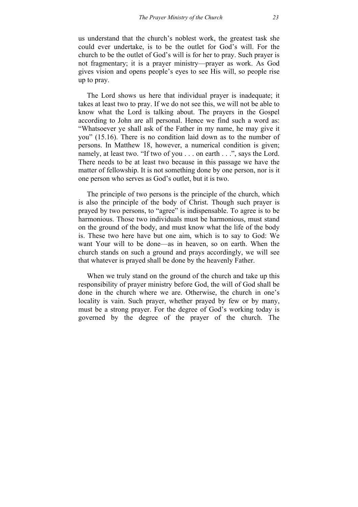us understand that the church's noblest work, the greatest task she could ever undertake, is to be the outlet for God's will. For the church to be the outlet of God's will is for her to pray. Such prayer is not fragmentary; it is a prayer ministry—prayer as work. As God gives vision and opens people's eyes to see His will, so people rise up to pray.

The Lord shows us here that individual prayer is inadequate; it takes at least two to pray. If we do not see this, we will not be able to know what the Lord is talking about. The prayers in the Gospel according to John are all personal. Hence we find such a word as: "Whatsoever ye shall ask of the Father in my name, he may give it you" (15.16). There is no condition laid down as to the number of persons. In Matthew 18, however, a numerical condition is given; namely, at least two. "If two of you . . . on earth . . .", says the Lord. There needs to be at least two because in this passage we have the matter of fellowship. It is not something done by one person, nor is it one person who serves as God's outlet, but it is two.

The principle of two persons is the principle of the church, which is also the principle of the body of Christ. Though such prayer is prayed by two persons, to "agree" is indispensable. To agree is to be harmonious. Those two individuals must be harmonious, must stand on the ground of the body, and must know what the life of the body is. These two here have but one aim, which is to say to God: We want Your will to be done—as in heaven, so on earth. When the church stands on such a ground and prays accordingly, we will see that whatever is prayed shall be done by the heavenly Father.

When we truly stand on the ground of the church and take up this responsibility of prayer ministry before God, the will of God shall be done in the church where we are. Otherwise, the church in one's locality is vain. Such prayer, whether prayed by few or by many, must be a strong prayer. For the degree of God's working today is governed by the degree of the prayer of the church. The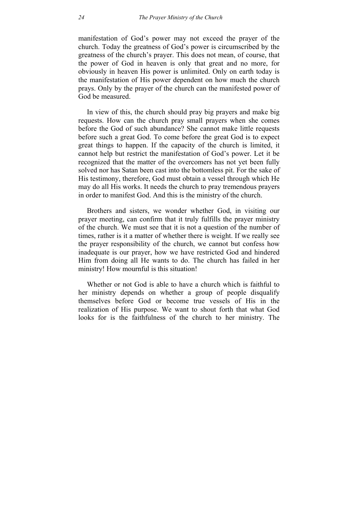manifestation of God's power may not exceed the prayer of the church. Today the greatness of God's power is circumscribed by the greatness of the church's prayer. This does not mean, of course, that the power of God in heaven is only that great and no more, for obviously in heaven His power is unlimited. Only on earth today is the manifestation of His power dependent on how much the church prays. Only by the prayer of the church can the manifested power of God be measured.

In view of this, the church should pray big prayers and make big requests. How can the church pray small prayers when she comes before the God of such abundance? She cannot make little requests before such a great God. To come before the great God is to expect great things to happen. If the capacity of the church is limited, it cannot help but restrict the manifestation of God's power. Let it be recognized that the matter of the overcomers has not yet been fully solved nor has Satan been cast into the bottomless pit. For the sake of His testimony, therefore, God must obtain a vessel through which He may do all His works. It needs the church to pray tremendous prayers in order to manifest God. And this is the ministry of the church.

Brothers and sisters, we wonder whether God, in visiting our prayer meeting, can confirm that it truly fulfills the prayer ministry of the church. We must see that it is not a question of the number of times, rather is it a matter of whether there is weight. If we really see the prayer responsibility of the church, we cannot but confess how inadequate is our prayer, how we have restricted God and hindered Him from doing all He wants to do. The church has failed in her ministry! How mournful is this situation!

Whether or not God is able to have a church which is faithful to her ministry depends on whether a group of people disqualify themselves before God or become true vessels of His in the realization of His purpose. We want to shout forth that what God looks for is the faithfulness of the church to her ministry. The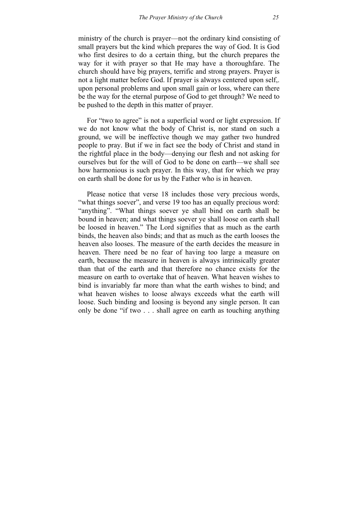ministry of the church is prayer—not the ordinary kind consisting of small prayers but the kind which prepares the way of God. It is God who first desires to do a certain thing, but the church prepares the way for it with prayer so that He may have a thoroughfare. The church should have big prayers, terrific and strong prayers. Prayer is not a light matter before God. If prayer is always centered upon self,. upon personal problems and upon small gain or loss, where can there be the way for the eternal purpose of God to get through? We need to be pushed to the depth in this matter of prayer.

For "two to agree" is not a superficial word or light expression. If we do not know what the body of Christ is, nor stand on such a ground, we will be ineffective though we may gather two hundred people to pray. But if we in fact see the body of Christ and stand in the rightful place in the body—denying our flesh and not asking for ourselves but for the will of God to be done on earth—we shall see how harmonious is such prayer. In this way, that for which we pray on earth shall be done for us by the Father who is in heaven.

Please notice that verse 18 includes those very precious words, "what things soever", and verse 19 too has an equally precious word: "anything". "What things soever ye shall bind on earth shall be bound in heaven; and what things soever ye shall loose on earth shall be loosed in heaven." The Lord signifies that as much as the earth binds, the heaven also binds; and that as much as the earth looses the heaven also looses. The measure of the earth decides the measure in heaven. There need be no fear of having too large a measure on earth, because the measure in heaven is always intrinsically greater than that of the earth and that therefore no chance exists for the measure on earth to overtake that of heaven. What heaven wishes to bind is invariably far more than what the earth wishes to bind; and what heaven wishes to loose always exceeds what the earth will loose. Such binding and loosing is beyond any single person. It can only be done "if two . . . shall agree on earth as touching anything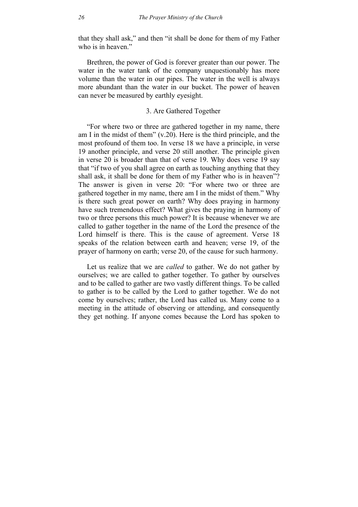that they shall ask," and then "it shall be done for them of my Father who is in heaven."

Brethren, the power of God is forever greater than our power. The water in the water tank of the company unquestionably has more volume than the water in our pipes. The water in the well is always more abundant than the water in our bucket. The power of heaven can never be measured by earthly eyesight.

#### 3. Are Gathered Together

"For where two or three are gathered together in my name, there am I in the midst of them" (v.20). Here is the third principle, and the most profound of them too. In verse 18 we have a principle, in verse 19 another principle, and verse 20 still another. The principle given in verse 20 is broader than that of verse 19. Why does verse 19 say that "if two of you shall agree on earth as touching anything that they shall ask, it shall be done for them of my Father who is in heaven"? The answer is given in verse 20: "For where two or three are gathered together in my name, there am I in the midst of them." Why is there such great power on earth? Why does praying in harmony have such tremendous effect? What gives the praying in harmony of two or three persons this much power? It is because whenever we are called to gather together in the name of the Lord the presence of the Lord himself is there. This is the cause of agreement. Verse 18 speaks of the relation between earth and heaven; verse 19, of the prayer of harmony on earth; verse 20, of the cause for such harmony.

Let us realize that we are *called* to gather. We do not gather by ourselves; we are called to gather together. To gather by ourselves and to be called to gather are two vastly different things. To be called to gather is to be called by the Lord to gather together. We do not come by ourselves; rather, the Lord has called us. Many come to a meeting in the attitude of observing or attending, and consequently they get nothing. If anyone comes because the Lord has spoken to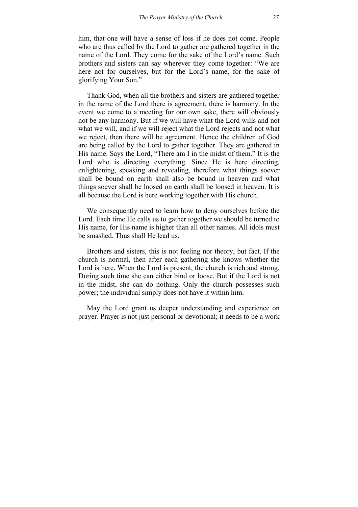him, that one will have a sense of loss if he does not come. People who are thus called by the Lord to gather are gathered together in the name of the Lord. They come for the sake of the Lord's name. Such brothers and sisters can say wherever they come together: "We are here not for ourselves, but for the Lord's name, for the sake of glorifying Your Son."

Thank God, when all the brothers and sisters are gathered together in the name of the Lord there is agreement, there is harmony. In the event we come to a meeting for our own sake, there will obviously not be any harmony. But if we will have what the Lord wills and not what we will, and if we will reject what the Lord rejects and not what we reject, then there will be agreement. Hence the children of God are being called by the Lord to gather together. They are gathered in His name. Says the Lord, "There am I in the midst of them." It is the Lord who is directing everything. Since He is here directing, enlightening, speaking and revealing, therefore what things soever shall be bound on earth shall also be bound in heaven and what things soever shall be loosed on earth shall be loosed in heaven. It is all because the Lord is here working together with His church.

We consequently need to learn how to deny ourselves before the Lord. Each time He calls us to gather together we should be turned to His name, for His name is higher than all other names. All idols must be smashed. Thus shall He lead us.

Brothers and sisters, this is not feeling nor theory, but fact. If the church is normal, then after each gathering she knows whether the Lord is here. When the Lord is present, the church is rich and strong. During such time she can either bind or loose. But if the Lord is not in the midst, she can do nothing. Only the church possesses such power; the individual simply does not have it within him.

May the Lord grant us deeper understanding and experience on prayer. Prayer is not just personal or devotional; it needs to be a work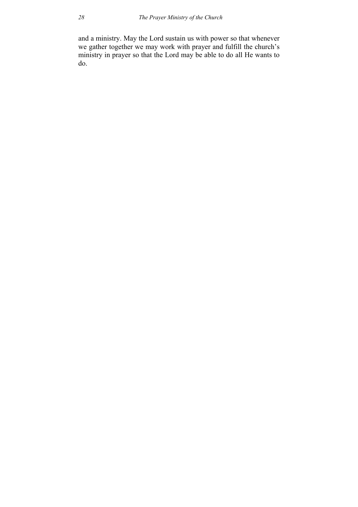and a ministry. May the Lord sustain us with power so that whenever we gather together we may work with prayer and fulfill the church's ministry in prayer so that the Lord may be able to do all He wants to do.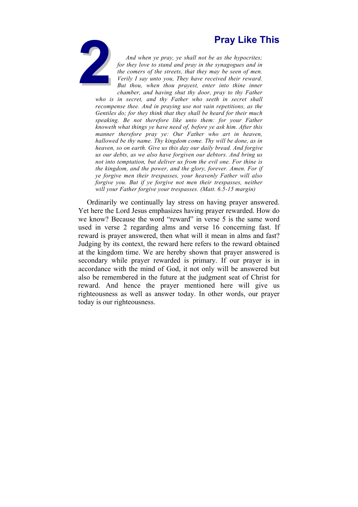

<span id="page-28-0"></span>**2Pray Like This**<br>
2Pray Like This<br>
2Pray And when ye pray, ye shall not be as the hypocrites;<br>
for they love to stand and pray in the synagogues and in<br>
the comers of the streets, that they may be seen of men.<br>
2Prily I s *And when ye pray, ye shall not be as the hypocrites; for they love to stand and pray in the synagogues and in the comers of the streets, that they may be seen of men. Verily I say unto you, They have received their reward. But thou, when thou prayest, enter into thine inner chamber, and having shut thy door, pray to thy Father who is in secret, and thy Father who seeth in secret shall recompense thee. And in praying use not vain repetitions, as the Gentiles do; for they think that they shall be heard for their much speaking. Be not therefore like unto them: for your Father*

*knoweth what things ye have need of, before ye ask him. After this manner therefore pray ye: Our Father who art in heaven, hallowed be thy name. Thy kingdom come. Thy will be done, as in heaven, so on earth. Give us this day our daily bread. And forgive us our debts, as we also have forgiven our debtors. And bring us not into temptation, but deliver us from the evil one. For thine is the kingdom, and the power, and the glory, forever. Amen. For if ye forgive men their trespasses, your heavenly Father will also forgive you. But if ye forgive not men their trespasses, neither will your Father forgive your trespasses. (Matt. 6.5-15 margin)*

Ordinarily we continually lay stress on having prayer answered. Yet here the Lord Jesus emphasizes having prayer rewarded. How do we know? Because the word "reward" in verse 5 is the same word used in verse 2 regarding alms and verse 16 concerning fast. If reward is prayer answered, then what will it mean in alms and fast? Judging by its context, the reward here refers to the reward obtained at the kingdom time. We are hereby shown that prayer answered is secondary while prayer rewarded is primary. If our prayer is in accordance with the mind of God, it not only will be answered but also be remembered in the future at the judgment seat of Christ for reward. And hence the prayer mentioned here will give us righteousness as well as answer today. In other words, our prayer today is our righteousness.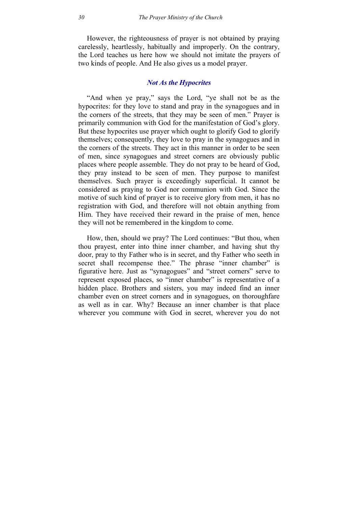However, the righteousness of prayer is not obtained by praying carelessly, heartlessly, habitually and improperly. On the contrary, the Lord teaches us here how we should not imitate the prayers of two kinds of people. And He also gives us a model prayer.

#### *Not As the Hypocrites*

"And when ye pray," says the Lord, "ye shall not be as the hypocrites: for they love to stand and pray in the synagogues and in the corners of the streets, that they may be seen of men." Prayer is primarily communion with God for the manifestation of God's glory. But these hypocrites use prayer which ought to glorify God to glorify themselves; consequently, they love to pray in the synagogues and in the corners of the streets. They act in this manner in order to be seen of men, since synagogues and street corners are obviously public places where people assemble. They do not pray to be heard of God, they pray instead to be seen of men. They purpose to manifest themselves. Such prayer is exceedingly superficial. It cannot be considered as praying to God nor communion with God. Since the motive of such kind of prayer is to receive glory from men, it has no registration with God, and therefore will not obtain anything from Him. They have received their reward in the praise of men, hence they will not be remembered in the kingdom to come.

How, then, should we pray? The Lord continues: "But thou, when thou prayest, enter into thine inner chamber, and having shut thy door, pray to thy Father who is in secret, and thy Father who seeth in secret shall recompense thee." The phrase "inner chamber" is figurative here. Just as "synagogues" and "street corners" serve to represent exposed places, so "inner chamber" is representative of a hidden place. Brothers and sisters, you may indeed find an inner chamber even on street corners and in synagogues, on thoroughfare as well as in car. Why? Because an inner chamber is that place wherever you commune with God in secret, wherever you do not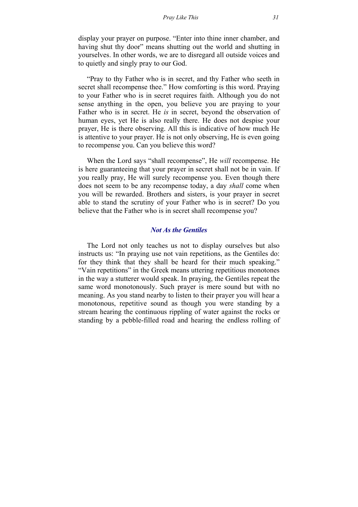display your prayer on purpose. "Enter into thine inner chamber, and having shut thy door" means shutting out the world and shutting in yourselves. In other words, we are to disregard all outside voices and to quietly and singly pray to our God.

"Pray to thy Father who is in secret, and thy Father who seeth in secret shall recompense thee." How comforting is this word. Praying to your Father who is in secret requires faith. Although you do not sense anything in the open, you believe you are praying to your Father who is in secret. He *is* in secret, beyond the observation of human eyes, yet He is also really there. He does not despise your prayer, He is there observing. All this is indicative of how much He is attentive to your prayer. He is not only observing, He is even going to recompense you. Can you believe this word?

When the Lord says "shall recompense", He *will* recompense. He is here guaranteeing that your prayer in secret shall not be in vain. If you really pray, He will surely recompense you. Even though there does not seem to be any recompense today, a day *shall* come when you will be rewarded. Brothers and sisters, is your prayer in secret able to stand the scrutiny of your Father who is in secret? Do you believe that the Father who is in secret shall recompense you?

#### *Not As the Gentiles*

The Lord not only teaches us not to display ourselves but also instructs us: "In praying use not vain repetitions, as the Gentiles do: for they think that they shall be heard for their much speaking." "Vain repetitions" in the Greek means uttering repetitious monotones in the way a stutterer would speak. In praying, the Gentiles repeat the same word monotonously. Such prayer is mere sound but with no meaning. As you stand nearby to listen to their prayer you will hear a monotonous, repetitive sound as though you were standing by a stream hearing the continuous rippling of water against the rocks or standing by a pebble-filled road and hearing the endless rolling of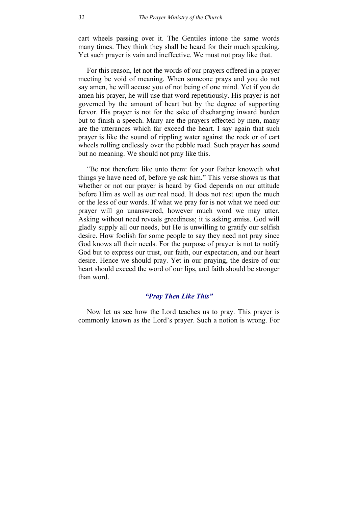cart wheels passing over it. The Gentiles intone the same words many times. They think they shall be heard for their much speaking. Yet such prayer is vain and ineffective. We must not pray like that.

For this reason, let not the words of our prayers offered in a prayer meeting be void of meaning. When someone prays and you do not say amen, he will accuse you of not being of one mind. Yet if you do amen his prayer, he will use that word repetitiously. His prayer is not governed by the amount of heart but by the degree of supporting fervor. His prayer is not for the sake of discharging inward burden but to finish a speech. Many are the prayers effected by men, many are the utterances which far exceed the heart. I say again that such prayer is like the sound of rippling water against the rock or of cart wheels rolling endlessly over the pebble road. Such prayer has sound but no meaning. We should not pray like this.

"Be not therefore like unto them: for your Father knoweth what things ye have need of, before ye ask him." This verse shows us that whether or not our prayer is heard by God depends on our attitude before Him as well as our real need. It does not rest upon the much or the less of our words. If what we pray for is not what we need our prayer will go unanswered, however much word we may utter. Asking without need reveals greediness; it is asking amiss. God will gladly supply all our needs, but He is unwilling to gratify our selfish desire. How foolish for some people to say they need not pray since God knows all their needs. For the purpose of prayer is not to notify God but to express our trust, our faith, our expectation, and our heart desire. Hence we should pray. Yet in our praying, the desire of our heart should exceed the word of our lips, and faith should be stronger than word.

### *"Pray Then Like This"*

Now let us see how the Lord teaches us to pray. This prayer is commonly known as the Lord's prayer. Such a notion is wrong. For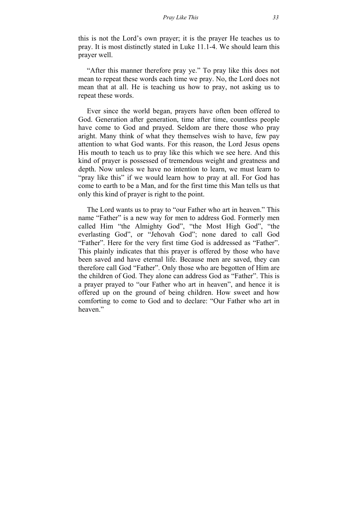this is not the Lord's own prayer; it is the prayer He teaches us to pray. It is most distinctly stated in Luke 11.1-4. We should learn this prayer well.

"After this manner therefore pray ye." To pray like this does not mean to repeat these words each time we pray. No, the Lord does not mean that at all. He is teaching us how to pray, not asking us to repeat these words.

Ever since the world began, prayers have often been offered to God. Generation after generation, time after time, countless people have come to God and prayed. Seldom are there those who pray aright. Many think of what they themselves wish to have, few pay attention to what God wants. For this reason, the Lord Jesus opens His mouth to teach us to pray like this which we see here. And this kind of prayer is possessed of tremendous weight and greatness and depth. Now unless we have no intention to learn, we must learn to "pray like this" if we would learn how to pray at all. For God has come to earth to be a Man, and for the first time this Man tells us that only this kind of prayer is right to the point.

The Lord wants us to pray to "our Father who art in heaven." This name "Father" is a new way for men to address God. Formerly men called Him "the Almighty God", "the Most High God", "the everlasting God", or "Jehovah God"; none dared to call God "Father". Here for the very first time God is addressed as "Father". This plainly indicates that this prayer is offered by those who have been saved and have eternal life. Because men are saved, they can therefore call God "Father". Only those who are begotten of Him are the children of God. They alone can address God as "Father". This is a prayer prayed to "our Father who art in heaven", and hence it is offered up on the ground of being children. How sweet and how comforting to come to God and to declare: "Our Father who art in heaven<sup>"</sup>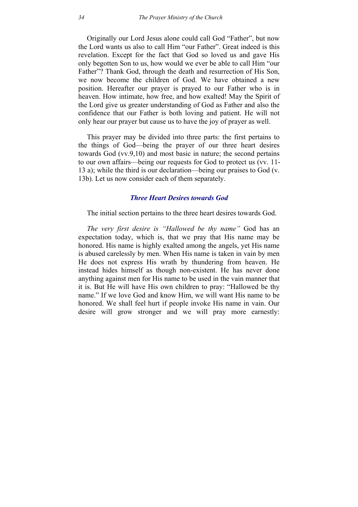Originally our Lord Jesus alone could call God "Father", but now the Lord wants us also to call Him "our Father". Great indeed is this revelation. Except for the fact that God so loved us and gave His only begotten Son to us, how would we ever be able to call Him "our Father"? Thank God, through the death and resurrection of His Son, we now become the children of God. We have obtained a new position. Hereafter our prayer is prayed to our Father who is in heaven. How intimate, how free, and how exalted! May the Spirit of the Lord give us greater understanding of God as Father and also the confidence that our Father is both loving and patient. He will not only hear our prayer but cause us to have the joy of prayer as well.

This prayer may be divided into three parts: the first pertains to the things of God—being the prayer of our three heart desires towards God (vv.9,10) and most basic in nature; the second pertains to our own affairs—being our requests for God to protect us (vv. 11- 13 a); while the third is our declaration—being our praises to God (v. 13b). Let us now consider each of them separately.

#### *Three Heart Desires towards God*

The initial section pertains to the three heart desires towards God.

*The very first desire is "Hallowed be thy name"* God has an expectation today, which is, that we pray that His name may be honored. His name is highly exalted among the angels, yet His name is abused carelessly by men. When His name is taken in vain by men He does not express His wrath by thundering from heaven. He instead hides himself as though non-existent. He has never done anything against men for His name to be used in the vain manner that it is. But He will have His own children to pray: "Hallowed be thy name." If we love God and know Him, we will want His name to be honored. We shall feel hurt if people invoke His name in vain. Our desire will grow stronger and we will pray more earnestly: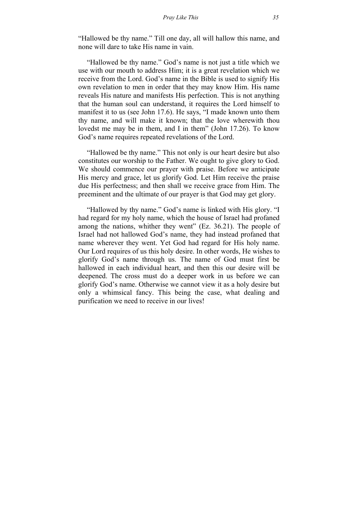"Hallowed be thy name." Till one day, all will hallow this name, and none will dare to take His name in vain.

"Hallowed be thy name." God's name is not just a title which we use with our mouth to address Him; it is a great revelation which we receive from the Lord. God's name in the Bible is used to signify His own revelation to men in order that they may know Him. His name reveals His nature and manifests His perfection. This is not anything that the human soul can understand, it requires the Lord himself to manifest it to us (see John 17.6). He says, "I made known unto them thy name, and will make it known; that the love wherewith thou lovedst me may be in them, and I in them" (John 17.26). To know God's name requires repeated revelations of the Lord.

"Hallowed be thy name." This not only is our heart desire but also constitutes our worship to the Father. We ought to give glory to God. We should commence our prayer with praise. Before we anticipate His mercy and grace, let us glorify God. Let Him receive the praise due His perfectness; and then shall we receive grace from Him. The preeminent and the ultimate of our prayer is that God may get glory.

"Hallowed by thy name." God's name is linked with His glory. "I had regard for my holy name, which the house of Israel had profaned among the nations, whither they went" (Ez. 36.21). The people of Israel had not hallowed God's name, they had instead profaned that name wherever they went. Yet God had regard for His holy name. Our Lord requires of us this holy desire. In other words, He wishes to glorify God's name through us. The name of God must first be hallowed in each individual heart, and then this our desire will be deepened. The cross must do a deeper work in us before we can glorify God's name. Otherwise we cannot view it as a holy desire but only a whimsical fancy. This being the case, what dealing and purification we need to receive in our lives!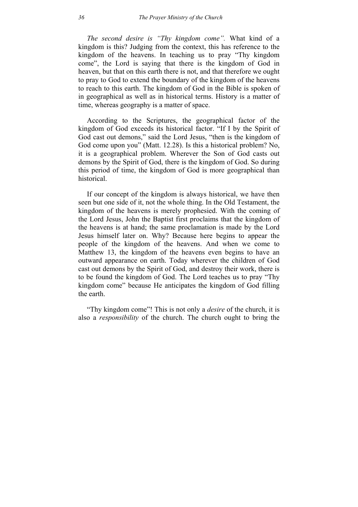*The second desire is "Thy kingdom come".* What kind of a kingdom is this? Judging from the context, this has reference to the kingdom of the heavens. In teaching us to pray "Thy kingdom come", the Lord is saying that there is the kingdom of God in heaven, but that on this earth there is not, and that therefore we ought to pray to God to extend the boundary of the kingdom of the heavens to reach to this earth. The kingdom of God in the Bible is spoken of in geographical as well as in historical terms. History is a matter of time, whereas geography is a matter of space.

According to the Scriptures, the geographical factor of the kingdom of God exceeds its historical factor. "If I by the Spirit of God cast out demons," said the Lord Jesus, "then is the kingdom of God come upon you" (Matt. 12.28). Is this a historical problem? No, it is a geographical problem. Wherever the Son of God casts out demons by the Spirit of God, there is the kingdom of God. So during this period of time, the kingdom of God is more geographical than historical.

If our concept of the kingdom is always historical, we have then seen but one side of it, not the whole thing. In the Old Testament, the kingdom of the heavens is merely prophesied. With the coming of the Lord Jesus, John the Baptist first proclaims that the kingdom of the heavens is at hand; the same proclamation is made by the Lord Jesus himself later on. Why? Because here begins to appear the people of the kingdom of the heavens. And when we come to Matthew 13, the kingdom of the heavens even begins to have an outward appearance on earth. Today wherever the children of God cast out demons by the Spirit of God, and destroy their work, there is to be found the kingdom of God. The Lord teaches us to pray "Thy kingdom come" because He anticipates the kingdom of God filling the earth.

"Thy kingdom come"! This is not only a *desire* of the church, it is also a *responsibility* of the church. The church ought to bring the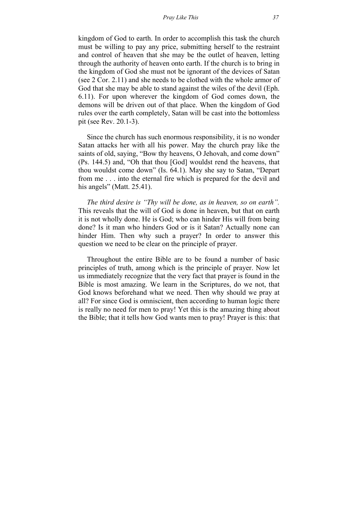kingdom of God to earth. In order to accomplish this task the church must be willing to pay any price, submitting herself to the restraint and control of heaven that she may be the outlet of heaven, letting through the authority of heaven onto earth. If the church is to bring in the kingdom of God she must not be ignorant of the devices of Satan (see 2 Cor. 2.11) and she needs to be clothed with the whole armor of God that she may be able to stand against the wiles of the devil (Eph. 6.11). For upon wherever the kingdom of God comes down, the demons will be driven out of that place. When the kingdom of God rules over the earth completely, Satan will be cast into the bottomless pit (see Rev. 20.1-3).

Since the church has such enormous responsibility, it is no wonder Satan attacks her with all his power. May the church pray like the saints of old, saying, "Bow thy heavens, O Jehovah, and come down" (Ps. 144.5) and, "Oh that thou [God] wouldst rend the heavens, that thou wouldst come down" (Is. 64.1). May she say to Satan, "Depart from me . . . into the eternal fire which is prepared for the devil and his angels" (Matt. 25.41).

*The third desire is "Thy will be done, as in heaven, so on earth".* This reveals that the will of God is done in heaven, but that on earth it is not wholly done. He is God; who can hinder His will from being done? Is it man who hinders God or is it Satan? Actually none can hinder Him. Then why such a prayer? In order to answer this question we need to be clear on the principle of prayer.

Throughout the entire Bible are to be found a number of basic principles of truth, among which is the principle of prayer. Now let us immediately recognize that the very fact that prayer is found in the Bible is most amazing. We learn in the Scriptures, do we not, that God knows beforehand what we need. Then why should we pray at all? For since God is omniscient, then according to human logic there is really no need for men to pray! Yet this is the amazing thing about the Bible; that it tells how God wants men to pray! Prayer is this: that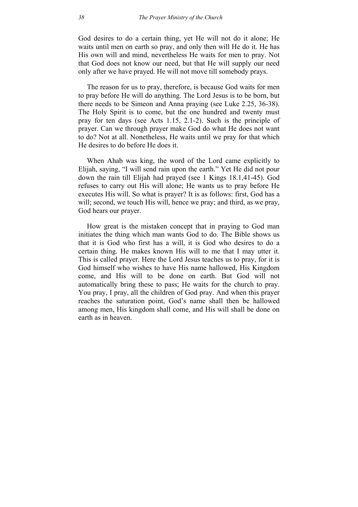God desires to do a certain thing, yet He will not do it alone; He waits until men on earth so pray, and only then will He do it. He has His own will and mind, nevertheless He waits for men to pray. Not that God does not know our need, but that He will supply our need only after we have prayed. He will not move till somebody prays.

The reason for us to pray, therefore, is because God waits for men to pray before He will do anything. The Lord Jesus is to be born, but there needs to be Simeon and Anna praying (see Luke 2.25, 36-38). The Holy Spirit is to come, but the one hundred and twenty must pray for ten days (see Acts 1.15, 2.1-2). Such is the principle of prayer. Can we through prayer make God do what He does not want to do? Not at all. Nonetheless, He waits until we pray for that which He desires to do before He does it.

When Ahab was king, the word of the Lord came explicitly to Elijah, saying, "I will send rain upon the earth." Yet He did not pour down the rain till Elijah had prayed (see 1 Kings 18.1,41-45). God refuses to carry out His will alone; He wants us to pray before He executes His will. So what is prayer? It is as follows: first, God has a will; second, we touch His will, hence we pray; and third, as we pray, God hears our prayer.

How great is the mistaken concept that in praying to God man initiates the thing which man wants God to do. The Bible shows us that it is God who first has a will, it is God who desires to do a certain thing. He makes known His will to me that I may utter it. This is called prayer. Here the Lord Jesus teaches us to pray, for it is God himself who wishes to have His name hallowed, His Kingdom come, and His will to be done on earth. But God will not automatically bring these to pass; He waits for the church to pray. You pray, I pray, all the children of God pray. And when this prayer reaches the saturation point, God's name shall then be hallowed among men, His kingdom shall come, and His will shall be done on earth as in heaven.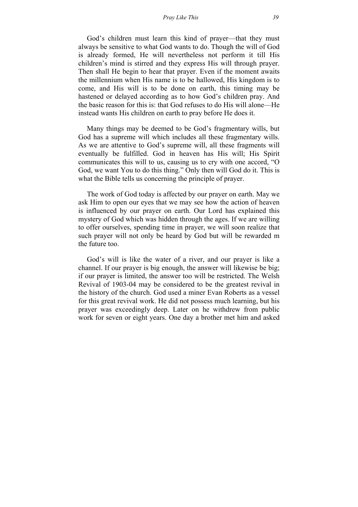God's children must learn this kind of prayer—that they must always be sensitive to what God wants to do. Though the will of God is already formed, He will nevertheless not perform it till His children's mind is stirred and they express His will through prayer. Then shall He begin to hear that prayer. Even if the moment awaits the millennium when His name is to be hallowed, His kingdom is to come, and His will is to be done on earth, this timing may be hastened or delayed according as to how God's children pray. And the basic reason for this is: that God refuses to do His will alone—He instead wants His children on earth to pray before He does it.

Many things may be deemed to be God's fragmentary wills, but God has a supreme will which includes all these fragmentary wills. As we are attentive to God's supreme will, all these fragments will eventually be fulfilled. God in heaven has His will; His Spirit communicates this will to us, causing us to cry with one accord, "O God, we want You to do this thing." Only then will God do it. This is what the Bible tells us concerning the principle of prayer.

The work of God today is affected by our prayer on earth. May we ask Him to open our eyes that we may see how the action of heaven is influenced by our prayer on earth. Our Lord has explained this mystery of God which was hidden through the ages. If we are willing to offer ourselves, spending time in prayer, we will soon realize that such prayer will not only be heard by God but will be rewarded m the future too.

God's will is like the water of a river, and our prayer is like a channel. If our prayer is big enough, the answer will likewise be big; if our prayer is limited, the answer too will be restricted. The Welsh Revival of 1903-04 may be considered to be the greatest revival in the history of the church. God used a miner Evan Roberts as a vessel for this great revival work. He did not possess much learning, but his prayer was exceedingly deep. Later on he withdrew from public work for seven or eight years. One day a brother met him and asked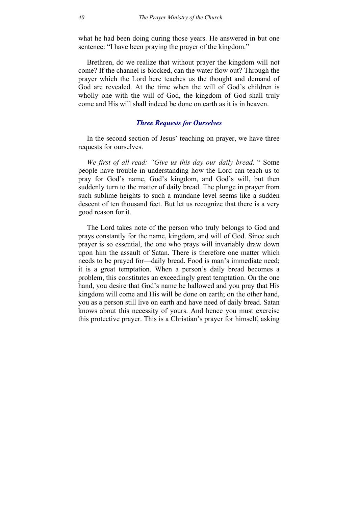what he had been doing during those years. He answered in but one sentence: "I have been praying the prayer of the kingdom."

Brethren, do we realize that without prayer the kingdom will not come? If the channel is blocked, can the water flow out? Through the prayer which the Lord here teaches us the thought and demand of God are revealed. At the time when the will of God's children is wholly one with the will of God, the kingdom of God shall truly come and His will shall indeed be done on earth as it is in heaven.

# *Three Requests for Ourselves*

In the second section of Jesus' teaching on prayer, we have three requests for ourselves.

*We first of all read: "Give us this day our daily bread.* " Some people have trouble in understanding how the Lord can teach us to pray for God's name, God's kingdom, and God's will, but then suddenly turn to the matter of daily bread. The plunge in prayer from such sublime heights to such a mundane level seems like a sudden descent of ten thousand feet. But let us recognize that there is a very good reason for it.

The Lord takes note of the person who truly belongs to God and prays constantly for the name, kingdom, and will of God. Since such prayer is so essential, the one who prays will invariably draw down upon him the assault of Satan. There is therefore one matter which needs to be prayed for—daily bread. Food is man's immediate need; it is a great temptation. When a person's daily bread becomes a problem, this constitutes an exceedingly great temptation. On the one hand, you desire that God's name be hallowed and you pray that His kingdom will come and His will be done on earth; on the other hand, you as a person still live on earth and have need of daily bread. Satan knows about this necessity of yours. And hence you must exercise this protective prayer. This is a Christian's prayer for himself, asking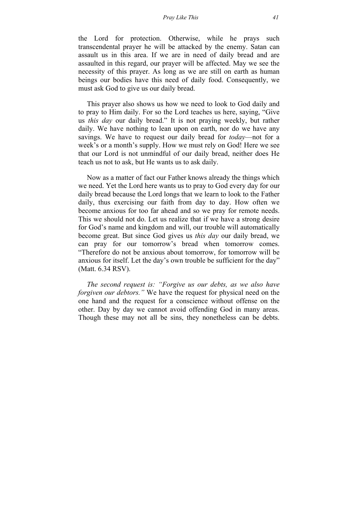the Lord for protection. Otherwise, while he prays such transcendental prayer he will be attacked by the enemy. Satan can assault us in this area. If we are in need of daily bread and are assaulted in this regard, our prayer will be affected. May we see the necessity of this prayer. As long as we are still on earth as human beings our bodies have this need of daily food. Consequently, we must ask God to give us our daily bread.

This prayer also shows us how we need to look to God daily and to pray to Him daily. For so the Lord teaches us here, saying, "Give us *this day* our daily bread." It is not praying weekly, but rather daily. We have nothing to lean upon on earth, nor do we have any savings. We have to request our daily bread for *today*—not for a week's or a month's supply. How we must rely on God! Here we see that our Lord is not unmindful of our daily bread, neither does He teach us not to ask, but He wants us to ask daily.

Now as a matter of fact our Father knows already the things which we need. Yet the Lord here wants us to pray to God every day for our daily bread because the Lord longs that we learn to look to the Father daily, thus exercising our faith from day to day. How often we become anxious for too far ahead and so we pray for remote needs. This we should not do. Let us realize that if we have a strong desire for God's name and kingdom and will, our trouble will automatically become great. But since God gives us *this day* our daily bread, we can pray for our tomorrow's bread when tomorrow comes. "Therefore do not be anxious about tomorrow, for tomorrow will be anxious for itself. Let the day's own trouble be sufficient for the day" (Matt. 6.34 RSV).

*The second request is: "Forgive us our debts, as we also have forgiven our debtors."* We have the request for physical need on the one hand and the request for a conscience without offense on the other. Day by day we cannot avoid offending God in many areas. Though these may not all be sins, they nonetheless can be debts.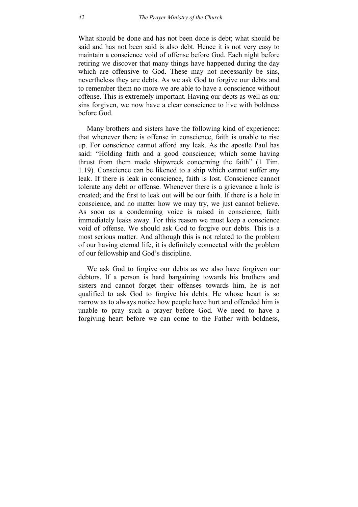What should be done and has not been done is debt; what should be said and has not been said is also debt. Hence it is not very easy to maintain a conscience void of offense before God. Each night before retiring we discover that many things have happened during the day which are offensive to God. These may not necessarily be sins, nevertheless they are debts. As we ask God to forgive our debts and to remember them no more we are able to have a conscience without offense. This is extremely important. Having our debts as well as our sins forgiven, we now have a clear conscience to live with boldness before God.

Many brothers and sisters have the following kind of experience: that whenever there is offense in conscience, faith is unable to rise up. For conscience cannot afford any leak. As the apostle Paul has said: "Holding faith and a good conscience; which some having thrust from them made shipwreck concerning the faith" (1 Tim. 1.19). Conscience can be likened to a ship which cannot suffer any leak. If there is leak in conscience, faith is lost. Conscience cannot tolerate any debt or offense. Whenever there is a grievance a hole is created; and the first to leak out will be our faith. If there is a hole in conscience, and no matter how we may try, we just cannot believe. As soon as a condemning voice is raised in conscience, faith immediately leaks away. For this reason we must keep a conscience void of offense. We should ask God to forgive our debts. This is a most serious matter. And although this is not related to the problem of our having eternal life, it is definitely connected with the problem of our fellowship and God's discipline.

We ask God to forgive our debts as we also have forgiven our debtors. If a person is hard bargaining towards his brothers and sisters and cannot forget their offenses towards him, he is not qualified to ask God to forgive his debts. He whose heart is so narrow as to always notice how people have hurt and offended him is unable to pray such a prayer before God. We need to have a forgiving heart before we can come to the Father with boldness,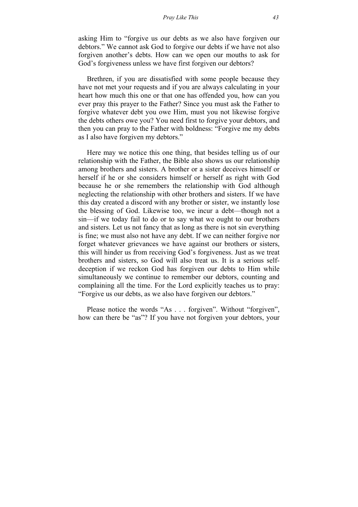asking Him to "forgive us our debts as we also have forgiven our debtors." We cannot ask God to forgive our debts if we have not also forgiven another's debts. How can we open our mouths to ask for God's forgiveness unless we have first forgiven our debtors?

Brethren, if you are dissatisfied with some people because they have not met your requests and if you are always calculating in your heart how much this one or that one has offended you, how can you ever pray this prayer to the Father? Since you must ask the Father to forgive whatever debt you owe Him, must you not likewise forgive the debts others owe you? You need first to forgive your debtors, and then you can pray to the Father with boldness: "Forgive me my debts as I also have forgiven my debtors."

Here may we notice this one thing, that besides telling us of our relationship with the Father, the Bible also shows us our relationship among brothers and sisters. A brother or a sister deceives himself or herself if he or she considers himself or herself as right with God because he or she remembers the relationship with God although neglecting the relationship with other brothers and sisters. If we have this day created a discord with any brother or sister, we instantly lose the blessing of God. Likewise too, we incur a debt—though not a sin—if we today fail to do or to say what we ought to our brothers and sisters. Let us not fancy that as long as there is not sin everything is fine; we must also not have any debt. If we can neither forgive nor forget whatever grievances we have against our brothers or sisters, this will hinder us from receiving God's forgiveness. Just as we treat brothers and sisters, so God will also treat us. It is a serious selfdeception if we reckon God has forgiven our debts to Him while simultaneously we continue to remember our debtors, counting and complaining all the time. For the Lord explicitly teaches us to pray: "Forgive us our debts, as we also have forgiven our debtors."

Please notice the words "As . . . forgiven". Without "forgiven", how can there be "as"? If you have not forgiven your debtors, your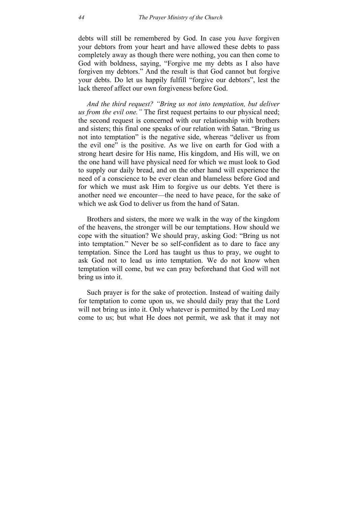debts will still be remembered by God. In case you *have* forgiven your debtors from your heart and have allowed these debts to pass completely away as though there were nothing, you can then come to God with boldness, saying, "Forgive me my debts as I also have forgiven my debtors." And the result is that God cannot but forgive your debts. Do let us happily fulfill "forgive our debtors", lest the lack thereof affect our own forgiveness before God.

*And the third request? "Bring us not into temptation, but deliver us from the evil one."* The first request pertains to our physical need; the second request is concerned with our relationship with brothers and sisters; this final one speaks of our relation with Satan. "Bring us not into temptation" is the negative side, whereas "deliver us from the evil one" is the positive. As we live on earth for God with a strong heart desire for His name, His kingdom, and His will, we on the one hand will have physical need for which we must look to God to supply our daily bread, and on the other hand will experience the need of a conscience to be ever clean and blameless before God and for which we must ask Him to forgive us our debts. Yet there is another need we encounter—the need to have peace, for the sake of which we ask God to deliver us from the hand of Satan.

Brothers and sisters, the more we walk in the way of the kingdom of the heavens, the stronger will be our temptations. How should we cope with the situation? We should pray, asking God: "Bring us not into temptation." Never be so self-confident as to dare to face any temptation. Since the Lord has taught us thus to pray, we ought to ask God not to lead us into temptation. We do not know when temptation will come, but we can pray beforehand that God will not bring us into it.

Such prayer is for the sake of protection. Instead of waiting daily for temptation to come upon us, we should daily pray that the Lord will not bring us into it. Only whatever is permitted by the Lord may come to us; but what He does not permit, we ask that it may not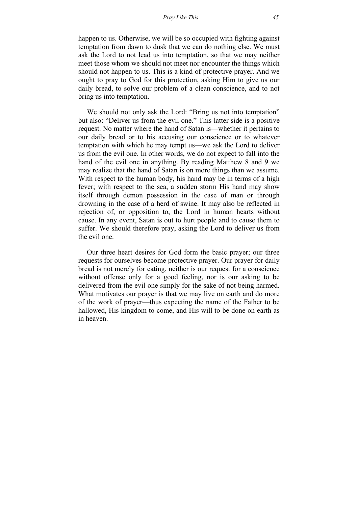happen to us. Otherwise, we will be so occupied with fighting against temptation from dawn to dusk that we can do nothing else. We must ask the Lord to not lead us into temptation, so that we may neither meet those whom we should not meet nor encounter the things which should not happen to us. This is a kind of protective prayer. And we ought to pray to God for this protection, asking Him to give us our daily bread, to solve our problem of a clean conscience, and to not bring us into temptation.

We should not only ask the Lord: "Bring us not into temptation" but also: "Deliver us from the evil one." This latter side is a positive request. No matter where the hand of Satan is—whether it pertains to our daily bread or to his accusing our conscience or to whatever temptation with which he may tempt us—we ask the Lord to deliver us from the evil one. In other words, we do not expect to fall into the hand of the evil one in anything. By reading Matthew 8 and 9 we may realize that the hand of Satan is on more things than we assume. With respect to the human body, his hand may be in terms of a high fever; with respect to the sea, a sudden storm His hand may show itself through demon possession in the case of man or through drowning in the case of a herd of swine. It may also be reflected in rejection of, or opposition to, the Lord in human hearts without cause. In any event, Satan is out to hurt people and to cause them to suffer. We should therefore pray, asking the Lord to deliver us from the evil one.

Our three heart desires for God form the basic prayer; our three requests for ourselves become protective prayer. Our prayer for daily bread is not merely for eating, neither is our request for a conscience without offense only for a good feeling, nor is our asking to be delivered from the evil one simply for the sake of not being harmed. What motivates our prayer is that we may live on earth and do more of the work of prayer—thus expecting the name of the Father to be hallowed, His kingdom to come, and His will to be done on earth as in heaven.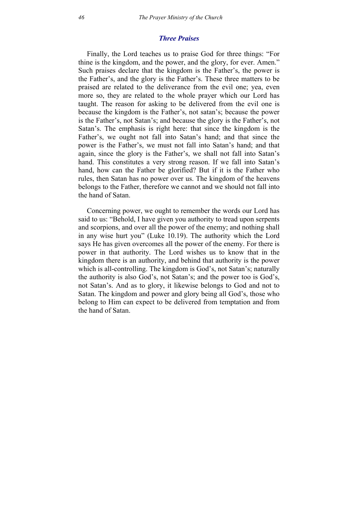# *Three Praises*

Finally, the Lord teaches us to praise God for three things: "For thine is the kingdom, and the power, and the glory, for ever. Amen." Such praises declare that the kingdom is the Father's, the power is the Father's, and the glory is the Father's. These three matters to be praised are related to the deliverance from the evil one; yea, even more so, they are related to the whole prayer which our Lord has taught. The reason for asking to be delivered from the evil one is because the kingdom is the Father's, not satan's; because the power is the Father's, not Satan's; and because the glory is the Father's, not Satan's. The emphasis is right here: that since the kingdom is the Father's, we ought not fall into Satan's hand; and that since the power is the Father's, we must not fall into Satan's hand; and that again, since the glory is the Father's, we shall not fall into Satan's hand. This constitutes a very strong reason. If we fall into Satan's hand, how can the Father be glorified? But if it is the Father who rules, then Satan has no power over us. The kingdom of the heavens belongs to the Father, therefore we cannot and we should not fall into the hand of Satan.

Concerning power, we ought to remember the words our Lord has said to us: "Behold, I have given you authority to tread upon serpents and scorpions, and over all the power of the enemy; and nothing shall in any wise hurt you" (Luke 10.19). The authority which the Lord says He has given overcomes all the power of the enemy. For there is power in that authority. The Lord wishes us to know that in the kingdom there is an authority, and behind that authority is the power which is all-controlling. The kingdom is God's, not Satan's; naturally the authority is also God's, not Satan's; and the power too is God's, not Satan's. And as to glory, it likewise belongs to God and not to Satan. The kingdom and power and glory being all God's, those who belong to Him can expect to be delivered from temptation and from the hand of Satan.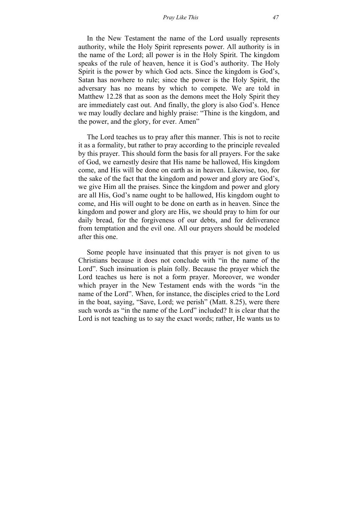In the New Testament the name of the Lord usually represents authority, while the Holy Spirit represents power. All authority is in the name of the Lord; all power is in the Holy Spirit. The kingdom speaks of the rule of heaven, hence it is God's authority. The Holy Spirit is the power by which God acts. Since the kingdom is God's, Satan has nowhere to rule; since the power is the Holy Spirit, the adversary has no means by which to compete. We are told in Matthew 12.28 that as soon as the demons meet the Holy Spirit they are immediately cast out. And finally, the glory is also God's. Hence we may loudly declare and highly praise: "Thine is the kingdom, and the power, and the glory, for ever. Amen"

The Lord teaches us to pray after this manner. This is not to recite it as a formality, but rather to pray according to the principle revealed by this prayer. This should form the basis for all prayers. For the sake of God, we earnestly desire that His name be hallowed, His kingdom come, and His will be done on earth as in heaven. Likewise, too, for the sake of the fact that the kingdom and power and glory are God's, we give Him all the praises. Since the kingdom and power and glory are all His, God's name ought to be hallowed, His kingdom ought to come, and His will ought to be done on earth as in heaven. Since the kingdom and power and glory are His, we should pray to him for our daily bread, for the forgiveness of our debts, and for deliverance from temptation and the evil one. All our prayers should be modeled after this one.

Some people have insinuated that this prayer is not given to us Christians because it does not conclude with "in the name of the Lord". Such insinuation is plain folly. Because the prayer which the Lord teaches us here is not a form prayer. Moreover, we wonder which prayer in the New Testament ends with the words "in the name of the Lord". When, for instance, the disciples cried to the Lord in the boat, saying, "Save, Lord; we perish" (Matt. 8.25), were there such words as "in the name of the Lord" included? It is clear that the Lord is not teaching us to say the exact words; rather, He wants us to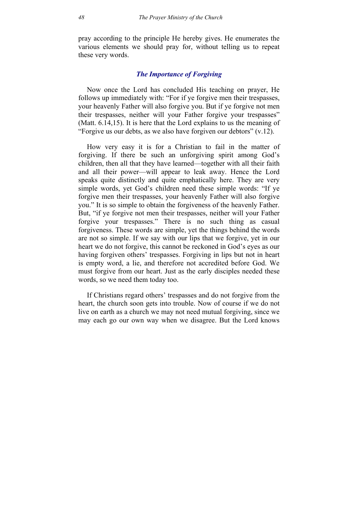pray according to the principle He hereby gives. He enumerates the various elements we should pray for, without telling us to repeat these very words.

# *The Importance of Forgiving*

Now once the Lord has concluded His teaching on prayer, He follows up immediately with: "For if ye forgive men their trespasses, your heavenly Father will also forgive you. But if ye forgive not men their trespasses, neither will your Father forgive your trespasses" (Matt. 6.14,15). It is here that the Lord explains to us the meaning of "Forgive us our debts, as we also have forgiven our debtors"  $(v.12)$ .

How very easy it is for a Christian to fail in the matter of forgiving. If there be such an unforgiving spirit among God's children, then all that they have learned—together with all their faith and all their power—will appear to leak away. Hence the Lord speaks quite distinctly and quite emphatically here. They are very simple words, yet God's children need these simple words: "If ye forgive men their trespasses, your heavenly Father will also forgive you." It is so simple to obtain the forgiveness of the heavenly Father. But, "if ye forgive not men their trespasses, neither will your Father forgive your trespasses." There is no such thing as casual forgiveness. These words are simple, yet the things behind the words are not so simple. If we say with our lips that we forgive, yet in our heart we do not forgive, this cannot be reckoned in God's eyes as our having forgiven others' trespasses. Forgiving in lips but not in heart is empty word, a lie, and therefore not accredited before God. We must forgive from our heart. Just as the early disciples needed these words, so we need them today too.

If Christians regard others' trespasses and do not forgive from the heart, the church soon gets into trouble. Now of course if we do not live on earth as a church we may not need mutual forgiving, since we may each go our own way when we disagree. But the Lord knows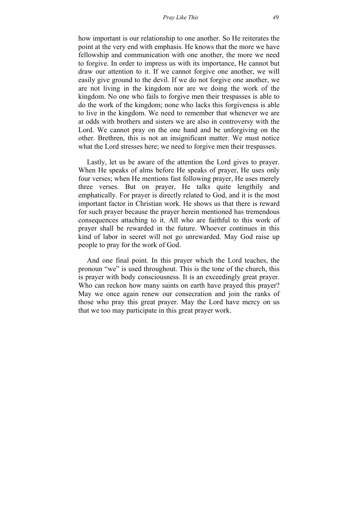how important is our relationship to one another. So He reiterates the point at the very end with emphasis. He knows that the more we have fellowship and communication with one another, the more we need to forgive. In order to impress us with its importance, He cannot but draw our attention to it. If we cannot forgive one another, we will easily give ground to the devil. If we do not forgive one another, we are not living in the kingdom nor are we doing the work of the kingdom. No one who fails to forgive men their trespasses is able to do the work of the kingdom; none who lacks this forgiveness is able to live in the kingdom. We need to remember that whenever we are at odds with brothers and sisters we are also in controversy with the Lord. We cannot pray on the one hand and be unforgiving on the other. Brethren, this is not an insignificant matter. We must notice what the Lord stresses here; we need to forgive men their trespasses.

Lastly, let us be aware of the attention the Lord gives to prayer. When He speaks of alms before He speaks of prayer, He uses only four verses; when He mentions fast following prayer, He uses merely three verses. But on prayer, He talks quite lengthily and emphatically. For prayer is directly related to God, and it is the most important factor in Christian work. He shows us that there is reward for such prayer because the prayer herein mentioned has tremendous consequences attaching to it. All who are faithful to this work of prayer shall be rewarded in the future. Whoever continues in this kind of labor in secret will not go unrewarded. May God raise up people to pray for the work of God.

And one final point. In this prayer which the Lord teaches, the pronoun "we" is used throughout. This is the tone of the church, this is prayer with body consciousness. It is an exceedingly great prayer. Who can reckon how many saints on earth have prayed this prayer? May we once again renew our consecration and join the ranks of those who pray this great prayer. May the Lord have mercy on us that we too may participate in this great prayer work.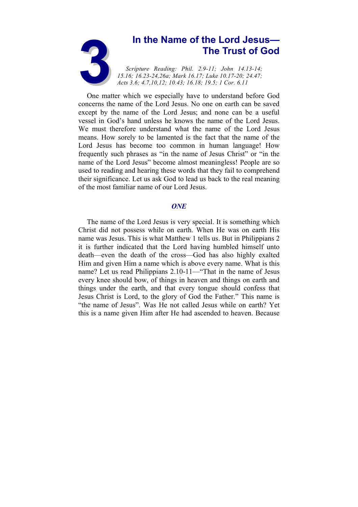

# **311 In the Name of the Lord Jesus—The Trust of God**<br> *Scripture Reading: Phil. 2.9-11; John 14.13-14;*<br> *15.16; 16.23-24,26a; Mark 16.17; Luke 10.17-20; 24.47;*<br> *Acts 3.6; 4.7,10,12; 10.43; 16.18; 19.5; 1 Cor. 6.11* **The Trust of God**

*Scripture Reading: Phil. 2.9-11; John 14.13-14; 15.16; 16.23-24,26a; Mark 16.17; Luke 10.17-20; 24.47; Acts 3.6; 4.7,10,12; 10.43; 16.18; 19.5; 1 Cor. 6.11* 

One matter which we especially have to understand before God concerns the name of the Lord Jesus. No one on earth can be saved except by the name of the Lord Jesus; and none can be a useful vessel in God's hand unless he knows the name of the Lord Jesus. We must therefore understand what the name of the Lord Jesus means. How sorely to be lamented is the fact that the name of the Lord Jesus has become too common in human language! How frequently such phrases as "in the name of Jesus Christ" or "in the name of the Lord Jesus" become almost meaningless! People are so used to reading and hearing these words that they fail to comprehend their significance. Let us ask God to lead us back to the real meaning of the most familiar name of our Lord Jesus.

### *ONE*

The name of the Lord Jesus is very special. It is something which Christ did not possess while on earth. When He was on earth His name was Jesus. This is what Matthew 1 tells us. But in Philippians 2 it is further indicated that the Lord having humbled himself unto death—even the death of the cross—God has also highly exalted Him and given Him a name which is above every name. What is this name? Let us read Philippians 2.10-11—"That in the name of Jesus every knee should bow, of things in heaven and things on earth and things under the earth, and that every tongue should confess that Jesus Christ is Lord, to the glory of God the Father." This name is "the name of Jesus". Was He not called Jesus while on earth? Yet this is a name given Him after He had ascended to heaven. Because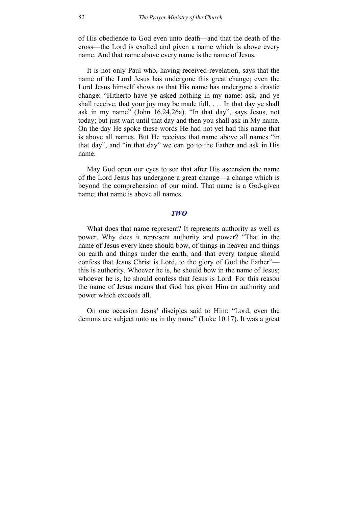of His obedience to God even unto death—and that the death of the cross—the Lord is exalted and given a name which is above every name. And that name above every name is the name of Jesus.

It is not only Paul who, having received revelation, says that the name of the Lord Jesus has undergone this great change; even the Lord Jesus himself shows us that His name has undergone a drastic change: "Hitherto have ye asked nothing in my name: ask, and ye shall receive, that your joy may be made full. . . . In that day ye shall ask in my name" (John 16.24,26a). "In that day", says Jesus, not today; but just wait until that day and then you shall ask in My name. On the day He spoke these words He had not yet had this name that is above all names. But He receives that name above all names "in that day", and "in that day" we can go to the Father and ask in His name.

May God open our eyes to see that after His ascension the name of the Lord Jesus has undergone a great change—a change which is beyond the comprehension of our mind. That name is a God-given name; that name is above all names.

# *TWO*

What does that name represent? It represents authority as well as power. Why does it represent authority and power? "That in the name of Jesus every knee should bow, of things in heaven and things on earth and things under the earth, and that every tongue should confess that Jesus Christ is Lord, to the glory of God the Father" this is authority. Whoever he is, he should bow in the name of Jesus; whoever he is, he should confess that Jesus is Lord. For this reason the name of Jesus means that God has given Him an authority and power which exceeds all.

On one occasion Jesus' disciples said to Him: "Lord, even the demons are subject unto us in thy name" (Luke 10.17). It was a great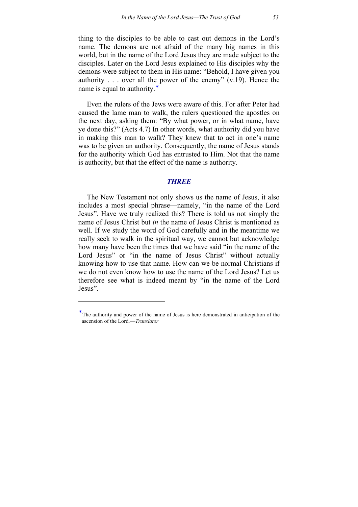thing to the disciples to be able to cast out demons in the Lord's name. The demons are not afraid of the many big names in this world, but in the name of the Lord Jesus they are made subject to the disciples. Later on the Lord Jesus explained to His disciples why the demons were subject to them in His name: "Behold, I have given you authority  $\ldots$  over all the power of the enemy" (v.19). Hence the name is equal to authority.<sup>\*</sup>

Even the rulers of the Jews were aware of this. For after Peter had caused the lame man to walk, the rulers questioned the apostles on the next day, asking them: "By what power, or in what name, have ye done this?" (Acts 4.7) In other words, what authority did you have in making this man to walk? They knew that to act in one's name was to be given an authority. Consequently, the name of Jesus stands for the authority which God has entrusted to Him. Not that the name is authority, but that the effect of the name is authority.

# *THREE*

The New Testament not only shows us the name of Jesus, it also includes a most special phrase—namely, "in the name of the Lord Jesus". Have we truly realized this? There is told us not simply the name of Jesus Christ but *in* the name of Jesus Christ is mentioned as well. If we study the word of God carefully and in the meantime we really seek to walk in the spiritual way, we cannot but acknowledge how many have been the times that we have said "in the name of the Lord Jesus" or "in the name of Jesus Christ" without actually knowing how to use that name. How can we be normal Christians if we do not even know how to use the name of the Lord Jesus? Let us therefore see what is indeed meant by "in the name of the Lord Jesus".

1

<sup>∗</sup> The authority and power of the name of Jesus is here demonstrated in anticipation of the ascension of the Lord.—*Translator*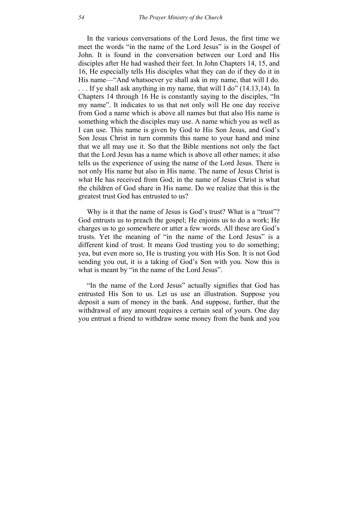In the various conversations of the Lord Jesus, the first time we meet the words "in the name of the Lord Jesus" is in the Gospel of John. It is found in the conversation between our Lord and His disciples after He had washed their feet. In John Chapters 14, 15, and 16, He especially tells His disciples what they can do if they do it in His name—"And whatsoever ye shall ask in my name, that will I do. . . . If ye shall ask anything in my name, that will I do" (14.13,14). In Chapters 14 through 16 He is constantly saying to the disciples, "In my name". It indicates to us that not only will He one day receive from God a name which is above all names but that also His name is something which the disciples may use. A name which you as well as I can use. This name is given by God to His Son Jesus, and God's Son Jesus Christ in turn commits this name to your hand and mine that we all may use it. So that the Bible mentions not only the fact that the Lord Jesus has a name which is above all other names; it also tells us the experience of using the name of the Lord Jesus. There is not only His name but also in His name. The name of Jesus Christ is what He has received from God; in the name of Jesus Christ is what the children of God share in His name. Do we realize that this is the greatest trust God has entrusted to us?

Why is it that the name of Jesus is God's trust? What is a "trust"? God entrusts us to preach the gospel; He enjoins us to do a work; He charges us to go somewhere or utter a few words. All these are God's trusts. Yet the meaning of "in the name of the Lord Jesus" is a different kind of trust. It means God trusting you to do something; yea, but even more so, He is trusting you with His Son. It is not God sending you out, it is a taking of God's Son with you. Now this is what is meant by "in the name of the Lord Jesus".

"In the name of the Lord Jesus" actually signifies that God has entrusted His Son to us. Let us use an illustration. Suppose you deposit a sum of money in the bank. And suppose, further, that the withdrawal of any amount requires a certain seal of yours. One day you entrust a friend to withdraw some money from the bank and you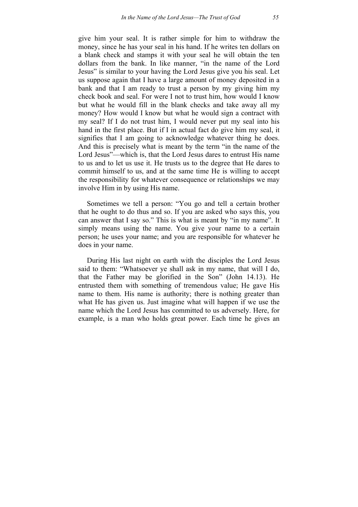give him your seal. It is rather simple for him to withdraw the money, since he has your seal in his hand. If he writes ten dollars on a blank check and stamps it with your seal he will obtain the ten dollars from the bank. In like manner, "in the name of the Lord Jesus" is similar to your having the Lord Jesus give you his seal. Let us suppose again that I have a large amount of money deposited in a bank and that I am ready to trust a person by my giving him my check book and seal. For were I not to trust him, how would I know but what he would fill in the blank checks and take away all my money? How would I know but what he would sign a contract with my seal? If I do not trust him, I would never put my seal into his hand in the first place. But if I in actual fact do give him my seal, it signifies that I am going to acknowledge whatever thing he does. And this is precisely what is meant by the term "in the name of the Lord Jesus"—which is, that the Lord Jesus dares to entrust His name to us and to let us use it. He trusts us to the degree that He dares to commit himself to us, and at the same time He is willing to accept the responsibility for whatever consequence or relationships we may involve Him in by using His name.

Sometimes we tell a person: "You go and tell a certain brother that he ought to do thus and so. If you are asked who says this, you can answer that I say so." This is what is meant by "in my name". It simply means using the name. You give your name to a certain person; he uses your name; and you are responsible for whatever he does in your name.

During His last night on earth with the disciples the Lord Jesus said to them: "Whatsoever ye shall ask in my name, that will I do, that the Father may be glorified in the Son" (John 14.13). He entrusted them with something of tremendous value; He gave His name to them. His name is authority; there is nothing greater than what He has given us. Just imagine what will happen if we use the name which the Lord Jesus has committed to us adversely. Here, for example, is a man who holds great power. Each time he gives an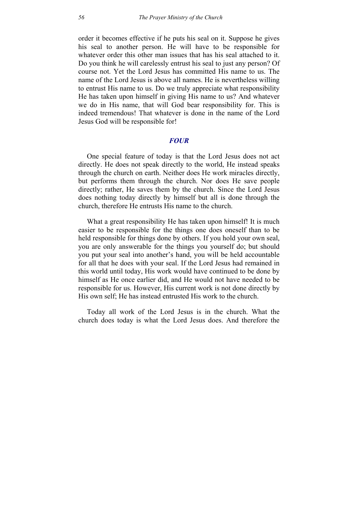order it becomes effective if he puts his seal on it. Suppose he gives his seal to another person. He will have to be responsible for whatever order this other man issues that has his seal attached to it. Do you think he will carelessly entrust his seal to just any person? Of course not. Yet the Lord Jesus has committed His name to us. The name of the Lord Jesus is above all names. He is nevertheless willing to entrust His name to us. Do we truly appreciate what responsibility He has taken upon himself in giving His name to us? And whatever we do in His name, that will God bear responsibility for. This is indeed tremendous! That whatever is done in the name of the Lord Jesus God will be responsible for!

#### *FOUR*

One special feature of today is that the Lord Jesus does not act directly. He does not speak directly to the world, He instead speaks through the church on earth. Neither does He work miracles directly, but performs them through the church. Nor does He save people directly; rather, He saves them by the church. Since the Lord Jesus does nothing today directly by himself but all is done through the church, therefore He entrusts His name to the church.

What a great responsibility He has taken upon himself! It is much easier to be responsible for the things one does oneself than to be held responsible for things done by others. If you hold your own seal, you are only answerable for the things you yourself do; but should you put your seal into another's hand, you will be held accountable for all that he does with your seal. If the Lord Jesus had remained in this world until today, His work would have continued to be done by himself as He once earlier did, and He would not have needed to be responsible for us. However, His current work is not done directly by His own self; He has instead entrusted His work to the church.

Today all work of the Lord Jesus is in the church. What the church does today is what the Lord Jesus does. And therefore the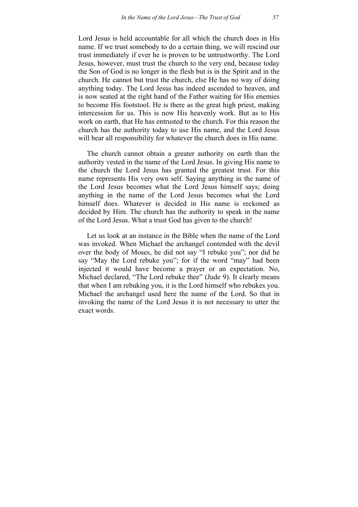Lord Jesus is held accountable for all which the church does in His name. If we trust somebody to do a certain thing, we will rescind our trust immediately if ever he is proven to be untrustworthy. The Lord Jesus, however, must trust the church to the very end, because today the Son of God is no longer in the flesh but is in the Spirit and in the church. He cannot but trust the church, else He has no way of doing anything today. The Lord Jesus has indeed ascended to heaven, and is now seated at the right hand of the Father waiting for His enemies to become His footstool. He is there as the great high priest, making intercession for us. This is now His heavenly work. But as to His work on earth, that He has entrusted to the church. For this reason the church has the authority today to use His name, and the Lord Jesus will bear all responsibility for whatever the church does in His name.

The church cannot obtain a greater authority on earth than the authority vested in the name of the Lord Jesus. In giving His name to the church the Lord Jesus has granted the greatest trust. For this name represents His very own self. Saying anything in the name of the Lord Jesus becomes what the Lord Jesus himself says; doing anything in the name of the Lord Jesus becomes what the Lord himself does. Whatever is decided in His name is reckoned as decided by Him. The church has the authority to speak in the name of the Lord Jesus. What a trust God has given to the church!

Let us look at an instance in the Bible when the name of the Lord was invoked. When Michael the archangel contended with the devil over the body of Moses, he did not say "I rebuke you"; nor did he say "May the Lord rebuke you"; for if the word "may" had been injected it would have become a prayer or an expectation. No, Michael declared, "The Lord rebuke thee" (Jude 9). It clearly means that when I am rebuking you, it is the Lord himself who rebukes you. Michael the archangel used here the name of the Lord. So that in invoking the name of the Lord Jesus it is not necessary to utter the exact words.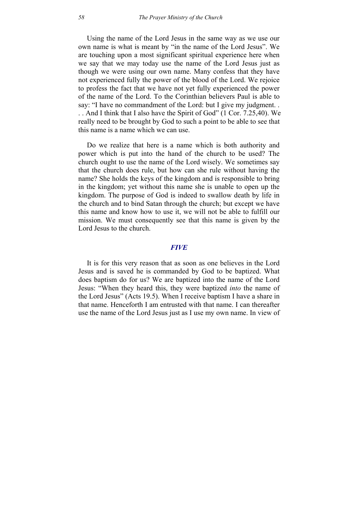Using the name of the Lord Jesus in the same way as we use our own name is what is meant by "in the name of the Lord Jesus". We are touching upon a most significant spiritual experience here when we say that we may today use the name of the Lord Jesus just as though we were using our own name. Many confess that they have not experienced fully the power of the blood of the Lord. We rejoice to profess the fact that we have not yet fully experienced the power of the name of the Lord. To the Corinthian believers Paul is able to say: "I have no commandment of the Lord: but I give my judgment. . . . And I think that I also have the Spirit of God" (1 Cor. 7.25,40). We really need to be brought by God to such a point to be able to see that this name is a name which we can use.

Do we realize that here is a name which is both authority and power which is put into the hand of the church to be used? The church ought to use the name of the Lord wisely. We sometimes say that the church does rule, but how can she rule without having the name? She holds the keys of the kingdom and is responsible to bring in the kingdom; yet without this name she is unable to open up the kingdom. The purpose of God is indeed to swallow death by life in the church and to bind Satan through the church; but except we have this name and know how to use it, we will not be able to fulfill our mission. We must consequently see that this name is given by the Lord Jesus to the church.

#### *FIVE*

It is for this very reason that as soon as one believes in the Lord Jesus and is saved he is commanded by God to be baptized. What does baptism do for us? We are baptized into the name of the Lord Jesus: "When they heard this, they were baptized *into* the name of the Lord Jesus" (Acts 19.5). When I receive baptism I have a share in that name. Henceforth I am entrusted with that name. I can thereafter use the name of the Lord Jesus just as I use my own name. In view of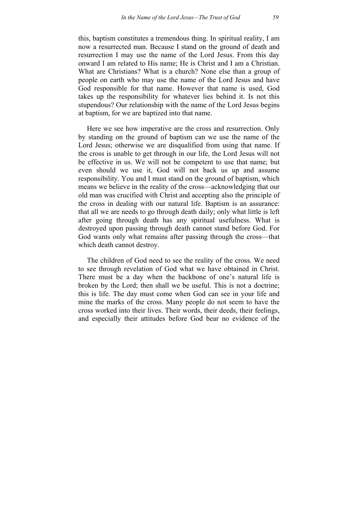this, baptism constitutes a tremendous thing. In spiritual reality, I am now a resurrected man. Because I stand on the ground of death and resurrection I may use the name of the Lord Jesus. From this day onward I am related to His name; He is Christ and I am a Christian. What are Christians? What is a church? None else than a group of people on earth who may use the name of the Lord Jesus and have God responsible for that name. However that name is used, God takes up the responsibility for whatever lies behind it. Is not this stupendous? Our relationship with the name of the Lord Jesus begins at baptism, for we are baptized into that name.

Here we see how imperative are the cross and resurrection. Only by standing on the ground of baptism can we use the name of the Lord Jesus; otherwise we are disqualified from using that name. If the cross is unable to get through in our life, the Lord Jesus will not be effective in us. We will not be competent to use that name; but even should we use it, God will not back us up and assume responsibility. You and I must stand on the ground of baptism, which means we believe in the reality of the cross—acknowledging that our old man was crucified with Christ and accepting also the principle of the cross in dealing with our natural life. Baptism is an assurance: that all we are needs to go through death daily; only what little is left after going through death has any spiritual usefulness. What is destroyed upon passing through death cannot stand before God. For God wants only what remains after passing through the cross—that which death cannot destroy.

The children of God need to see the reality of the cross. We need to see through revelation of God what we have obtained in Christ. There must be a day when the backbone of one's natural life is broken by the Lord; then shall we be useful. This is not a doctrine; this is life. The day must come when God can see in your life and mine the marks of the cross. Many people do not seem to have the cross worked into their lives. Their words, their deeds, their feelings, and especially their attitudes before God bear no evidence of the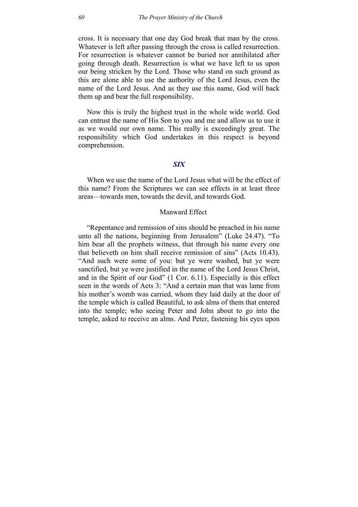cross. It is necessary that one day God break that man by the cross. Whatever is left after passing through the cross is called resurrection. For resurrection is whatever cannot be buried nor annihilated after going through death. Resurrection is what we have left to us upon our being stricken by the Lord. Those who stand on such ground as this are alone able to use the authority of the Lord Jesus, even the name of the Lord Jesus. And as they use this name, God will back them up and bear the full responsibility.

Now this is truly the highest trust in the whole wide world. God can entrust the name of His Son to you and me and allow us to use it as we would our own name. This really is exceedingly great. The responsibility which God undertakes in this respect is beyond comprehension.

#### *SIX*

When we use the name of the Lord Jesus what will be the effect of this name? From the Scriptures we can see effects in at least three areas—towards men, towards the devil, and towards God.

#### Manward Effect

"Repentance and remission of sins should be preached in his name unto all the nations, beginning from Jerusalem" (Luke 24.47). "To him bear all the prophets witness, that through his name every one that believeth on him shall receive remission of sins" (Acts 10.43). "And such were some of you: but ye were washed, but ye were sanctified, but ye were justified in the name of the Lord Jesus Christ, and in the Spirit of our God" (1 Cor. 6.11). Especially is this effect seen in the words of Acts 3: "And a certain man that was lame from his mother's womb was carried, whom they laid daily at the door of the temple which is called Beautiful, to ask alms of them that entered into the temple; who seeing Peter and John about to go into the temple, asked to receive an alms. And Peter, fastening his eyes upon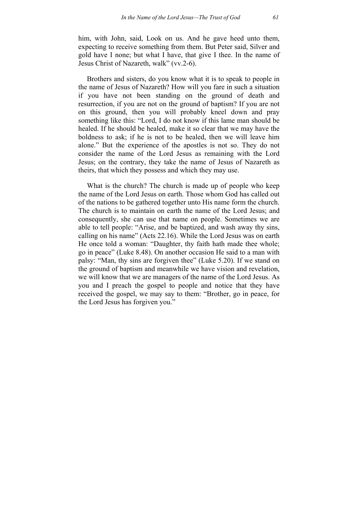him, with John, said, Look on us. And he gave heed unto them, expecting to receive something from them. But Peter said, Silver and gold have I none; but what I have, that give I thee. In the name of Jesus Christ of Nazareth, walk" (vv.2-6).

Brothers and sisters, do you know what it is to speak to people in the name of Jesus of Nazareth? How will you fare in such a situation if you have not been standing on the ground of death and resurrection, if you are not on the ground of baptism? If you are not on this ground, then you will probably kneel down and pray something like this: "Lord, I do not know if this lame man should be healed. If he should be healed, make it so clear that we may have the boldness to ask; if he is not to be healed, then we will leave him alone." But the experience of the apostles is not so. They do not consider the name of the Lord Jesus as remaining with the Lord Jesus; on the contrary, they take the name of Jesus of Nazareth as theirs, that which they possess and which they may use.

What is the church? The church is made up of people who keep the name of the Lord Jesus on earth. Those whom God has called out of the nations to be gathered together unto His name form the church. The church is to maintain on earth the name of the Lord Jesus; and consequently, she can use that name on people. Sometimes we are able to tell people: "Arise, and be baptized, and wash away thy sins, calling on his name" (Acts 22.16). While the Lord Jesus was on earth He once told a woman: "Daughter, thy faith hath made thee whole; go in peace" (Luke 8.48). On another occasion He said to a man with palsy: "Man, thy sins are forgiven thee" (Luke 5.20). If we stand on the ground of baptism and meanwhile we have vision and revelation, we will know that we are managers of the name of the Lord Jesus. As you and I preach the gospel to people and notice that they have received the gospel, we may say to them: "Brother, go in peace, for the Lord Jesus has forgiven you."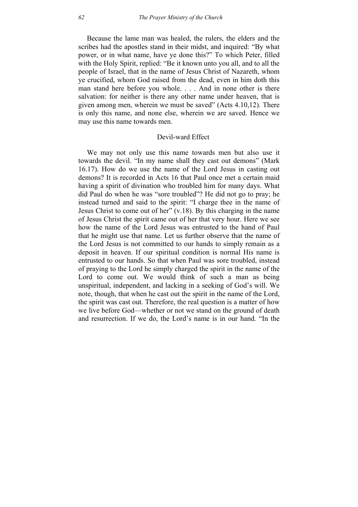Because the lame man was healed, the rulers, the elders and the scribes had the apostles stand in their midst, and inquired: "By what power, or in what name, have ye done this?" To which Peter, filled with the Holy Spirit, replied: "Be it known unto you all, and to all the people of Israel, that in the name of Jesus Christ of Nazareth, whom ye crucified, whom God raised from the dead, even in him doth this man stand here before you whole. . . . And in none other is there salvation: for neither is there any other name under heaven, that is given among men, wherein we must be saved" (Acts 4.10,12). There is only this name, and none else, wherein we are saved. Hence we may use this name towards men.

# Devil-ward Effect

We may not only use this name towards men but also use it towards the devil. "In my name shall they cast out demons" (Mark 16.17). How do we use the name of the Lord Jesus in casting out demons? It is recorded in Acts 16 that Paul once met a certain maid having a spirit of divination who troubled him for many days. What did Paul do when he was "sore troubled"? He did not go to pray; he instead turned and said to the spirit: "I charge thee in the name of Jesus Christ to come out of her"  $(v.18)$ . By this charging in the name of Jesus Christ the spirit came out of her that very hour. Here we see how the name of the Lord Jesus was entrusted to the hand of Paul that he might use that name. Let us further observe that the name of the Lord Jesus is not committed to our hands to simply remain as a deposit in heaven. If our spiritual condition is normal His name is entrusted to our hands. So that when Paul was sore troubled, instead of praying to the Lord he simply charged the spirit in the name of the Lord to come out. We would think of such a man as being unspiritual, independent, and lacking in a seeking of God's will. We note, though, that when he cast out the spirit in the name of the Lord, the spirit was cast out. Therefore, the real question is a matter of how we live before God—whether or not we stand on the ground of death and resurrection. If we do, the Lord's name is in our hand. "In the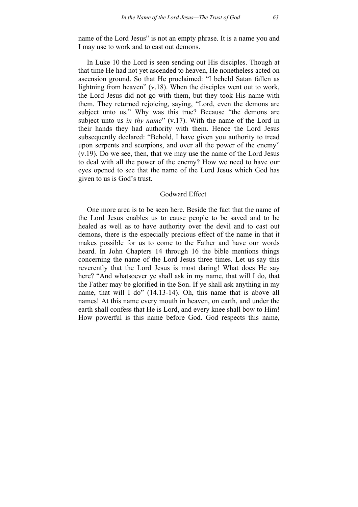name of the Lord Jesus" is not an empty phrase. It is a name you and I may use to work and to cast out demons.

In Luke 10 the Lord is seen sending out His disciples. Though at that time He had not yet ascended to heaven, He nonetheless acted on ascension ground. So that He proclaimed: "I beheld Satan fallen as lightning from heaven" (v.18). When the disciples went out to work, the Lord Jesus did not go with them, but they took His name with them. They returned rejoicing, saying, "Lord, even the demons are subject unto us." Why was this true? Because "the demons are subject unto us *in thy name*" (v.17). With the name of the Lord in their hands they had authority with them. Hence the Lord Jesus subsequently declared: "Behold, I have given you authority to tread upon serpents and scorpions, and over all the power of the enemy" (v.19). Do we see, then, that we may use the name of the Lord Jesus to deal with all the power of the enemy? How we need to have our eyes opened to see that the name of the Lord Jesus which God has given to us is God's trust.

# Godward Effect

One more area is to be seen here. Beside the fact that the name of the Lord Jesus enables us to cause people to be saved and to be healed as well as to have authority over the devil and to cast out demons, there is the especially precious effect of the name in that it makes possible for us to come to the Father and have our words heard. In John Chapters 14 through 16 the bible mentions things concerning the name of the Lord Jesus three times. Let us say this reverently that the Lord Jesus is most daring! What does He say here? "And whatsoever ye shall ask in my name, that will I do, that the Father may be glorified in the Son. If ye shall ask anything in my name, that will I do" (14.13-14). Oh, this name that is above all names! At this name every mouth in heaven, on earth, and under the earth shall confess that He is Lord, and every knee shall bow to Him! How powerful is this name before God. God respects this name,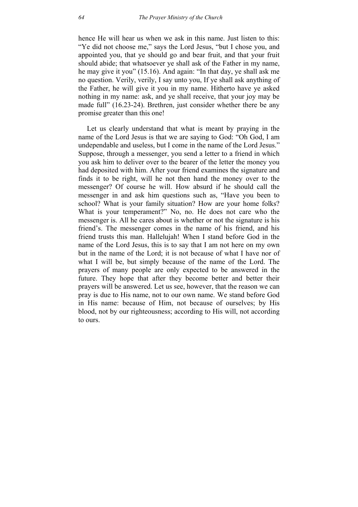hence He will hear us when we ask in this name. Just listen to this: "Ye did not choose me," says the Lord Jesus, "but I chose you, and appointed you, that ye should go and bear fruit, and that your fruit should abide; that whatsoever ye shall ask of the Father in my name, he may give it you" (15.16). And again: "In that day, ye shall ask me no question. Verily, verily, I say unto you, If ye shall ask anything of the Father, he will give it you in my name. Hitherto have ye asked nothing in my name: ask, and ye shall receive, that your joy may be made full" (16.23-24). Brethren, just consider whether there be any promise greater than this one!

Let us clearly understand that what is meant by praying in the name of the Lord Jesus is that we are saying to God: "Oh God, I am undependable and useless, but I come in the name of the Lord Jesus." Suppose, through a messenger, you send a letter to a friend in which you ask him to deliver over to the bearer of the letter the money you had deposited with him. After your friend examines the signature and finds it to be right, will he not then hand the money over to the messenger? Of course he will. How absurd if he should call the messenger in and ask him questions such as, "Have you been to school? What is your family situation? How are your home folks? What is your temperament?" No, no. He does not care who the messenger is. All he cares about is whether or not the signature is his friend's. The messenger comes in the name of his friend, and his friend trusts this man. Hallelujah! When I stand before God in the name of the Lord Jesus, this is to say that I am not here on my own but in the name of the Lord; it is not because of what I have nor of what I will be, but simply because of the name of the Lord. The prayers of many people are only expected to be answered in the future. They hope that after they become better and better their prayers will be answered. Let us see, however, that the reason we can pray is due to His name, not to our own name. We stand before God in His name: because of Him, not because of ourselves; by His blood, not by our righteousness; according to His will, not according to ours.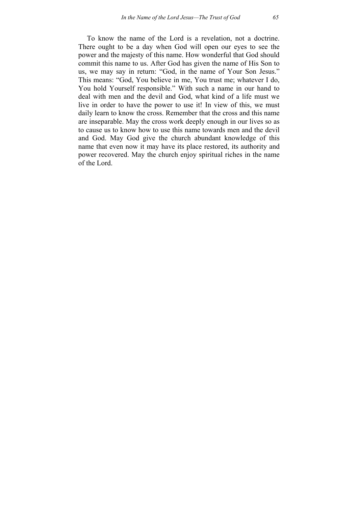To know the name of the Lord is a revelation, not a doctrine. There ought to be a day when God will open our eyes to see the power and the majesty of this name. How wonderful that God should commit this name to us. After God has given the name of His Son to us, we may say in return: "God, in the name of Your Son Jesus." This means: "God, You believe in me, You trust me; whatever I do, You hold Yourself responsible." With such a name in our hand to deal with men and the devil and God, what kind of a life must we live in order to have the power to use it! In view of this, we must daily learn to know the cross. Remember that the cross and this name are inseparable. May the cross work deeply enough in our lives so as to cause us to know how to use this name towards men and the devil and God. May God give the church abundant knowledge of this name that even now it may have its place restored, its authority and power recovered. May the church enjoy spiritual riches in the name of the Lord.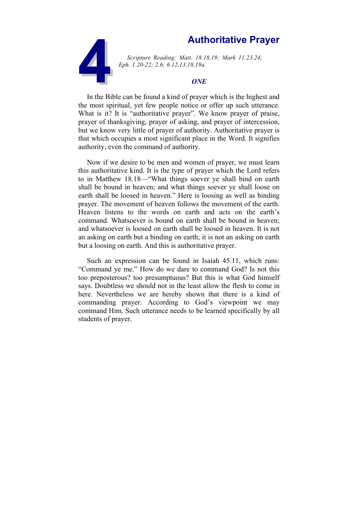

*Scripture Reading: Matt. 18.18,19; Mark 11.23,24; Eph. 1.20-22; 2.6; 6.12,13,18,19a.* 

# *ONE*

In the Bible can be found a kind of prayer which is the highest and the most spiritual, yet few people notice or offer up such utterance. What is it? It is "authoritative prayer". We know prayer of praise, prayer of thanksgiving, prayer of asking, and prayer of intercession, but we know very little of prayer of authority. Authoritative prayer is that which occupies a most significant place in the Word. It signifies authority, even the command of authority.

Now if we desire to be men and women of prayer, we must learn this authoritative kind. It is the type of prayer which the Lord refers to in Matthew 18.18—"What things soever ye shall bind on earth shall be bound in heaven; and what things soever ye shall loose on earth shall be loosed in heaven." Here is loosing as well as binding prayer. The movement of heaven follows the movement of the earth. Heaven listens to the words on earth and acts on the earth's command. Whatsoever is bound on earth shall be bound in heaven; and whatsoever is loosed on earth shall be loosed in heaven. It is not an asking on earth but a binding on earth; it is not an asking on earth but a loosing on earth. And this is authoritative prayer.

Such an expression can be found in Isaiah 45.11, which runs: "Command ye me." How do we dare to command God? Is not this too preposterous? too presumptuous? But this is what God himself says. Doubtless we should not in the least allow the flesh to come in here. Nevertheless we are hereby shown that there is a kind of commanding prayer. According to God's viewpoint we may command Him. Such utterance needs to be learned specifically by all students of prayer.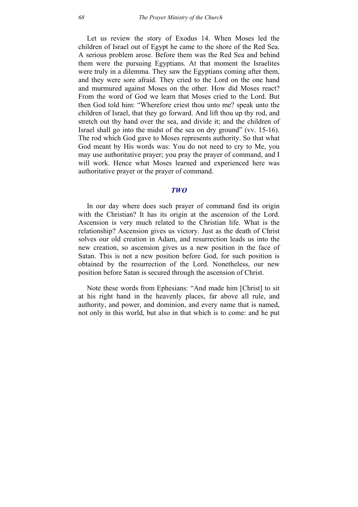Let us review the story of Exodus 14. When Moses led the children of Israel out of Egypt he came to the shore of the Red Sea. A serious problem arose. Before them was the Red Sea and behind them were the pursuing Egyptians. At that moment the Israelites were truly in a dilemma. They saw the Egyptians coming after them, and they were sore afraid. They cried to the Lord on the one hand and murmured against Moses on the other. How did Moses react? From the word of God we learn that Moses cried to the Lord. But then God told him: "Wherefore criest thou unto me? speak unto the children of Israel, that they go forward. And lift thou up thy rod, and stretch out thy hand over the sea, and divide it; and the children of Israel shall go into the midst of the sea on dry ground" (vv. 15-16). The rod which God gave to Moses represents authority. So that what God meant by His words was: You do not need to cry to Me, you may use authoritative prayer; you pray the prayer of command, and I will work. Hence what Moses learned and experienced here was authoritative prayer or the prayer of command.

#### *TWO*

In our day where does such prayer of command find its origin with the Christian? It has its origin at the ascension of the Lord. Ascension is very much related to the Christian life. What is the relationship? Ascension gives us victory. Just as the death of Christ solves our old creation in Adam, and resurrection leads us into the new creation, so ascension gives us a new position in the face of Satan. This is not a new position before God, for such position is obtained by the resurrection of the Lord. Nonetheless, our new position before Satan is secured through the ascension of Christ.

Note these words from Ephesians: "And made him [Christ] to sit at his right hand in the heavenly places, far above all rule, and authority, and power, and dominion, and every name that is named, not only in this world, but also in that which is to come: and he put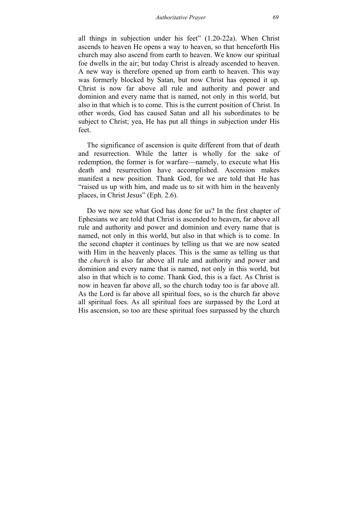all things in subjection under his feet" (1.20-22a). When Christ ascends to heaven He opens a way to heaven, so that henceforth His church may also ascend from earth to heaven. We know our spiritual foe dwells in the air; but today Christ is already ascended to heaven. A new way is therefore opened up from earth to heaven. This way was formerly blocked by Satan, but now Christ has opened it up. Christ is now far above all rule and authority and power and dominion and every name that is named, not only in this world, but also in that which is to come. This is the current position of Christ. In other words, God has caused Satan and all his subordinates to be subject to Christ; yea, He has put all things in subjection under His feet.

The significance of ascension is quite different from that of death and resurrection. While the latter is wholly for the sake of redemption, the former is for warfare—namely, to execute what His death and resurrection have accomplished. Ascension makes manifest a new position. Thank God, for we are told that He has "raised us up with him, and made us to sit with him in the heavenly places, in Christ Jesus" (Eph. 2.6).

Do we now see what God has done for us? In the first chapter of Ephesians we are told that Christ is ascended to heaven, far above all rule and authority and power and dominion and every name that is named, not only in this world, but also in that which is to come. In the second chapter it continues by telling us that we are now seated with Him in the heavenly places. This is the same as telling us that the *church* is also far above all rule and authority and power and dominion and every name that is named, not only in this world, but also in that which is to come. Thank God, this is a fact. As Christ is now in heaven far above all, so the church today too is far above all. As the Lord is far above all spiritual foes, so is the church far above all spiritual foes. As all spiritual foes are surpassed by the Lord at His ascension, so too are these spiritual foes surpassed by the church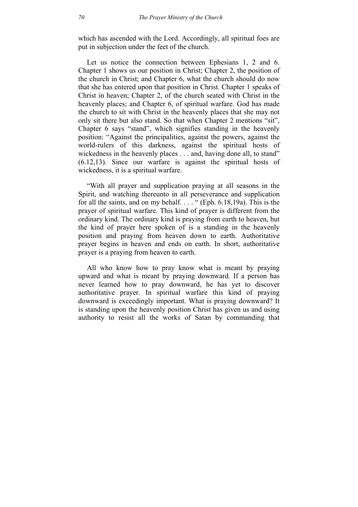which has ascended with the Lord. Accordingly, all spiritual foes are put in subjection under the feet of the church.

Let us notice the connection between Ephesians 1, 2 and 6. Chapter 1 shows us our position in Christ; Chapter 2, the position of the church in Christ; and Chapter 6, what the church should do now that she has entered upon that position in Christ. Chapter 1 speaks of Christ in heaven; Chapter 2, of the church seated with Christ in the heavenly places; and Chapter 6, of spiritual warfare. God has made the church to sit with Christ in the heavenly places that she may not only sit there but also stand. So that when Chapter 2 mentions "sit", Chapter 6 says "stand", which signifies standing in the heavenly position: "Against the principalities, against the powers, against the world-rulers of this darkness, against the spiritual hosts of wickedness in the heavenly places . . . and, having done all, to stand" (6.12,13). Since our warfare is against the spiritual hosts of wickedness, it is a spiritual warfare.

"With all prayer and supplication praying at all seasons in the Spirit, and watching thereunto in all perseverance and supplication for all the saints, and on my behalf. . . . " (Eph. 6.18,19a). This is the prayer of spiritual warfare. This kind of prayer is different from the ordinary kind. The ordinary kind is praying from earth to heaven, but the kind of prayer here spoken of is a standing in the heavenly position and praying from heaven down to earth. Authoritative prayer begins in heaven and ends on earth. In short, authoritative prayer is a praying from heaven to earth.

All who know how to pray know what is meant by praying upward and what is meant by praying downward. If a person has never learned how to pray downward, he has yet to discover authoritative prayer. In spiritual warfare this kind of praying downward is exceedingly important. What is praying downward? It is standing upon the heavenly position Christ has given us and using authority to resist all the works of Satan by commanding that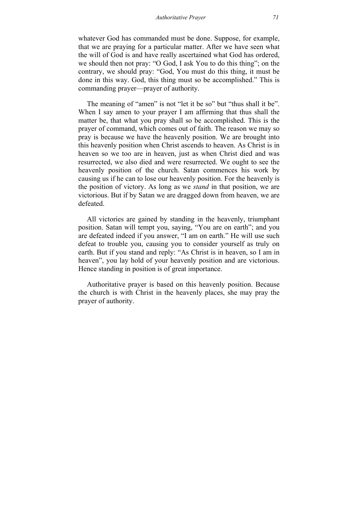whatever God has commanded must be done. Suppose, for example, that we are praying for a particular matter. After we have seen what the will of God is and have really ascertained what God has ordered, we should then not pray: "O God, I ask You to do this thing"; on the contrary, we should pray: "God, You must do this thing, it must be done in this way. God, this thing must so be accomplished." This is commanding prayer—prayer of authority.

The meaning of "amen" is not "let it be so" but "thus shall it be". When I say amen to your prayer I am affirming that thus shall the matter be, that what you pray shall so be accomplished. This is the prayer of command, which comes out of faith. The reason we may so pray is because we have the heavenly position. We are brought into this heavenly position when Christ ascends to heaven. As Christ is in heaven so we too are in heaven, just as when Christ died and was resurrected, we also died and were resurrected. We ought to see the heavenly position of the church. Satan commences his work by causing us if he can to lose our heavenly position. For the heavenly is the position of victory. As long as we *stand* in that position, we are victorious. But if by Satan we are dragged down from heaven, we are defeated.

All victories are gained by standing in the heavenly, triumphant position. Satan will tempt you, saying, "You are on earth"; and you are defeated indeed if you answer, "I am on earth." He will use such defeat to trouble you, causing you to consider yourself as truly on earth. But if you stand and reply: "As Christ is in heaven, so I am in heaven", you lay hold of your heavenly position and are victorious. Hence standing in position is of great importance.

Authoritative prayer is based on this heavenly position. Because the church is with Christ in the heavenly places, she may pray the prayer of authority.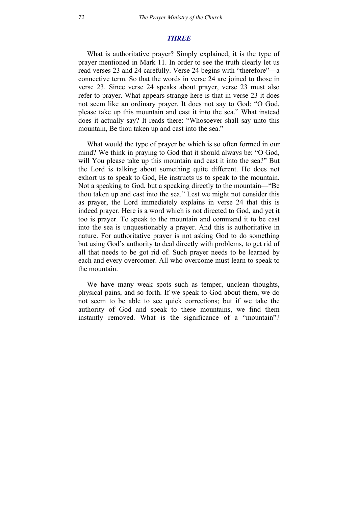#### *THREE*

What is authoritative prayer? Simply explained, it is the type of prayer mentioned in Mark 11. In order to see the truth clearly let us read verses 23 and 24 carefully. Verse 24 begins with "therefore"—a connective term. So that the words in verse 24 are joined to those in verse 23. Since verse 24 speaks about prayer, verse 23 must also refer to prayer. What appears strange here is that in verse 23 it does not seem like an ordinary prayer. It does not say to God: "O God, please take up this mountain and cast it into the sea." What instead does it actually say? It reads there: "Whosoever shall say unto this mountain, Be thou taken up and cast into the sea."

What would the type of prayer be which is so often formed in our mind? We think in praying to God that it should always be: "O God, will You please take up this mountain and cast it into the sea?" But the Lord is talking about something quite different. He does not exhort us to speak to God, He instructs us to speak to the mountain. Not a speaking to God, but a speaking directly to the mountain—"Be thou taken up and cast into the sea." Lest we might not consider this as prayer, the Lord immediately explains in verse 24 that this is indeed prayer. Here is a word which is not directed to God, and yet it too is prayer. To speak to the mountain and command it to be cast into the sea is unquestionably a prayer. And this is authoritative in nature. For authoritative prayer is not asking God to do something but using God's authority to deal directly with problems, to get rid of all that needs to be got rid of. Such prayer needs to be learned by each and every overcomer. All who overcome must learn to speak to the mountain.

We have many weak spots such as temper, unclean thoughts, physical pains, and so forth. If we speak to God about them, we do not seem to be able to see quick corrections; but if we take the authority of God and speak to these mountains, we find them instantly removed. What is the significance of a "mountain"?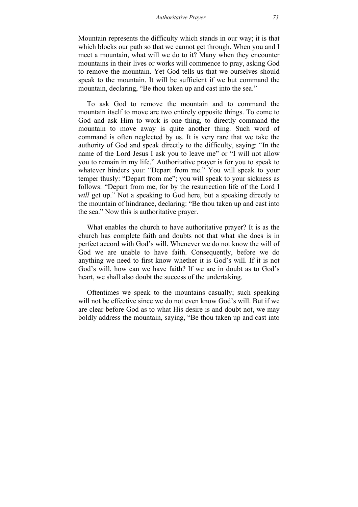Mountain represents the difficulty which stands in our way; it is that which blocks our path so that we cannot get through. When you and I meet a mountain, what will we do to it? Many when they encounter mountains in their lives or works will commence to pray, asking God to remove the mountain. Yet God tells us that we ourselves should speak to the mountain. It will be sufficient if we but command the mountain, declaring, "Be thou taken up and cast into the sea."

To ask God to remove the mountain and to command the mountain itself to move are two entirely opposite things. To come to God and ask Him to work is one thing, to directly command the mountain to move away is quite another thing. Such word of command is often neglected by us. It is very rare that we take the authority of God and speak directly to the difficulty, saying: "In the name of the Lord Jesus I ask you to leave me" or "I will not allow you to remain in my life." Authoritative prayer is for you to speak to whatever hinders you: "Depart from me." You will speak to your temper thusly: "Depart from me"; you will speak to your sickness as follows: "Depart from me, for by the resurrection life of the Lord I *will* get up." Not a speaking to God here, but a speaking directly to the mountain of hindrance, declaring: "Be thou taken up and cast into the sea." Now this is authoritative prayer.

What enables the church to have authoritative prayer? It is as the church has complete faith and doubts not that what she does is in perfect accord with God's will. Whenever we do not know the will of God we are unable to have faith. Consequently, before we do anything we need to first know whether it is God's will. If it is not God's will, how can we have faith? If we are in doubt as to God's heart, we shall also doubt the success of the undertaking.

Oftentimes we speak to the mountains casually; such speaking will not be effective since we do not even know God's will. But if we are clear before God as to what His desire is and doubt not, we may boldly address the mountain, saying, "Be thou taken up and cast into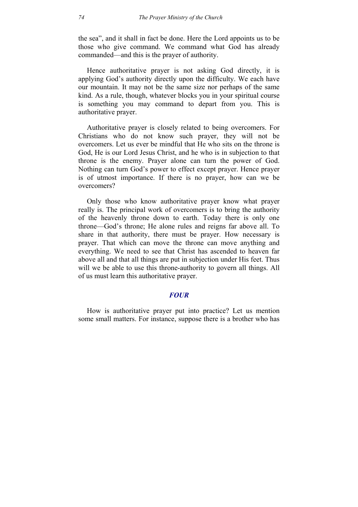the sea", and it shall in fact be done. Here the Lord appoints us to be those who give command. We command what God has already commanded—and this is the prayer of authority.

Hence authoritative prayer is not asking God directly, it is applying God's authority directly upon the difficulty. We each have our mountain. It may not be the same size nor perhaps of the same kind. As a rule, though, whatever blocks you in your spiritual course is something you may command to depart from you. This is authoritative prayer.

Authoritative prayer is closely related to being overcomers. For Christians who do not know such prayer, they will not be overcomers. Let us ever be mindful that He who sits on the throne is God, He is our Lord Jesus Christ, and he who is in subjection to that throne is the enemy. Prayer alone can turn the power of God. Nothing can turn God's power to effect except prayer. Hence prayer is of utmost importance. If there is no prayer, how can we be overcomers?

Only those who know authoritative prayer know what prayer really is. The principal work of overcomers is to bring the authority of the heavenly throne down to earth. Today there is only one throne—God's throne; He alone rules and reigns far above all. To share in that authority, there must be prayer. How necessary is prayer. That which can move the throne can move anything and everything. We need to see that Christ has ascended to heaven far above all and that all things are put in subjection under His feet. Thus will we be able to use this throne-authority to govern all things. All of us must learn this authoritative prayer.

# *FOUR*

How is authoritative prayer put into practice? Let us mention some small matters. For instance, suppose there is a brother who has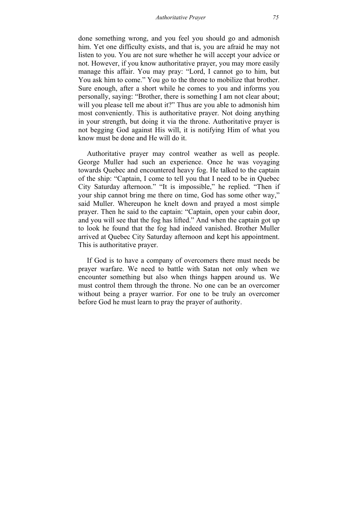done something wrong, and you feel you should go and admonish him. Yet one difficulty exists, and that is, you are afraid he may not listen to you. You are not sure whether he will accept your advice or not. However, if you know authoritative prayer, you may more easily manage this affair. You may pray: "Lord, I cannot go to him, but You ask him to come." You go to the throne to mobilize that brother. Sure enough, after a short while he comes to you and informs you personally, saying: "Brother, there is something I am not clear about; will you please tell me about it?" Thus are you able to admonish him most conveniently. This is authoritative prayer. Not doing anything in your strength, but doing it via the throne. Authoritative prayer is not begging God against His will, it is notifying Him of what you know must be done and He will do it.

Authoritative prayer may control weather as well as people. George Muller had such an experience. Once he was voyaging towards Quebec and encountered heavy fog. He talked to the captain of the ship: "Captain, I come to tell you that I need to be in Quebec City Saturday afternoon." "It is impossible," he replied. "Then if your ship cannot bring me there on time, God has some other way," said Muller. Whereupon he knelt down and prayed a most simple prayer. Then he said to the captain: "Captain, open your cabin door, and you will see that the fog has lifted." And when the captain got up to look he found that the fog had indeed vanished. Brother Muller arrived at Quebec City Saturday afternoon and kept his appointment. This is authoritative prayer.

If God is to have a company of overcomers there must needs be prayer warfare. We need to battle with Satan not only when we encounter something but also when things happen around us. We must control them through the throne. No one can be an overcomer without being a prayer warrior. For one to be truly an overcomer before God he must learn to pray the prayer of authority.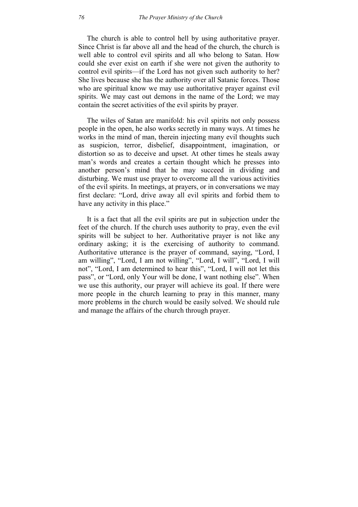The church is able to control hell by using authoritative prayer. Since Christ is far above all and the head of the church, the church is well able to control evil spirits and all who belong to Satan. How could she ever exist on earth if she were not given the authority to control evil spirits—if the Lord has not given such authority to her? She lives because she has the authority over all Satanic forces. Those who are spiritual know we may use authoritative prayer against evil spirits. We may cast out demons in the name of the Lord; we may contain the secret activities of the evil spirits by prayer.

The wiles of Satan are manifold: his evil spirits not only possess people in the open, he also works secretly in many ways. At times he works in the mind of man, therein injecting many evil thoughts such as suspicion, terror, disbelief, disappointment, imagination, or distortion so as to deceive and upset. At other times he steals away man's words and creates a certain thought which he presses into another person's mind that he may succeed in dividing and disturbing. We must use prayer to overcome all the various activities of the evil spirits. In meetings, at prayers, or in conversations we may first declare: "Lord, drive away all evil spirits and forbid them to have any activity in this place."

It is a fact that all the evil spirits are put in subjection under the feet of the church. If the church uses authority to pray, even the evil spirits will be subject to her. Authoritative prayer is not like any ordinary asking; it is the exercising of authority to command. Authoritative utterance is the prayer of command, saying, "Lord, I am willing", "Lord, I am not willing", "Lord, I will", "Lord, I will not", "Lord, I am determined to hear this", "Lord, I will not let this pass", or "Lord, only Your will be done, I want nothing else". When we use this authority, our prayer will achieve its goal. If there were more people in the church learning to pray in this manner, many more problems in the church would be easily solved. We should rule and manage the affairs of the church through prayer.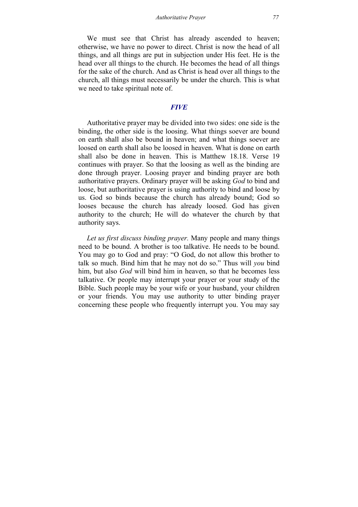We must see that Christ has already ascended to heaven; otherwise, we have no power to direct. Christ is now the head of all things, and all things are put in subjection under His feet. He is the head over all things to the church. He becomes the head of all things for the sake of the church. And as Christ is head over all things to the church, all things must necessarily be under the church. This is what we need to take spiritual note of.

#### *FIVE*

Authoritative prayer may be divided into two sides: one side is the binding, the other side is the loosing. What things soever are bound on earth shall also be bound in heaven; and what things soever are loosed on earth shall also be loosed in heaven. What is done on earth shall also be done in heaven. This is Matthew 18.18. Verse 19 continues with prayer. So that the loosing as well as the binding are done through prayer. Loosing prayer and binding prayer are both authoritative prayers. Ordinary prayer will be asking *God* to bind and loose, but authoritative prayer is using authority to bind and loose by us. God so binds because the church has already bound; God so looses because the church has already loosed. God has given authority to the church; He will do whatever the church by that authority says.

*Let us first discuss binding prayer.* Many people and many things need to be bound. A brother is too talkative. He needs to be bound. You may go to God and pray: "O God, do not allow this brother to talk so much. Bind him that he may not do so." Thus will *you* bind him, but also *God* will bind him in heaven, so that he becomes less talkative. Or people may interrupt your prayer or your study of the Bible. Such people may be your wife or your husband, your children or your friends. You may use authority to utter binding prayer concerning these people who frequently interrupt you. You may say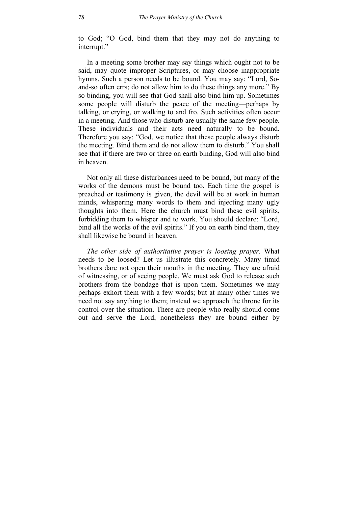to God; "O God, bind them that they may not do anything to interrupt."

In a meeting some brother may say things which ought not to be said, may quote improper Scriptures, or may choose inappropriate hymns. Such a person needs to be bound. You may say: "Lord, Soand-so often errs; do not allow him to do these things any more." By so binding, you will see that God shall also bind him up. Sometimes some people will disturb the peace of the meeting—perhaps by talking, or crying, or walking to and fro. Such activities often occur in a meeting. And those who disturb are usually the same few people. These individuals and their acts need naturally to be bound. Therefore you say: "God, we notice that these people always disturb the meeting. Bind them and do not allow them to disturb." You shall see that if there are two or three on earth binding, God will also bind in heaven.

Not only all these disturbances need to be bound, but many of the works of the demons must be bound too. Each time the gospel is preached or testimony is given, the devil will be at work in human minds, whispering many words to them and injecting many ugly thoughts into them. Here the church must bind these evil spirits, forbidding them to whisper and to work. You should declare: "Lord, bind all the works of the evil spirits." If you on earth bind them, they shall likewise be bound in heaven.

*The other side of authoritative prayer is loosing prayer.* What needs to be loosed? Let us illustrate this concretely. Many timid brothers dare not open their mouths in the meeting. They are afraid of witnessing, or of seeing people. We must ask God to release such brothers from the bondage that is upon them. Sometimes we may perhaps exhort them with a few words; but at many other times we need not say anything to them; instead we approach the throne for its control over the situation. There are people who really should come out and serve the Lord, nonetheless they are bound either by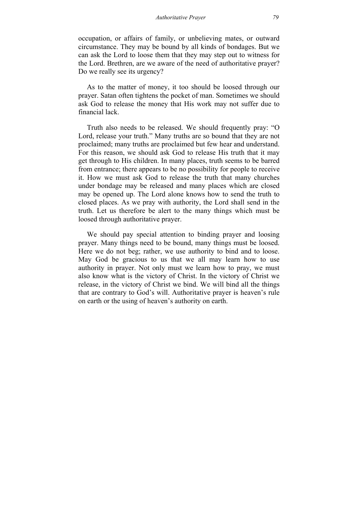occupation, or affairs of family, or unbelieving mates, or outward circumstance. They may be bound by all kinds of bondages. But we can ask the Lord to loose them that they may step out to witness for the Lord. Brethren, are we aware of the need of authoritative prayer? Do we really see its urgency?

As to the matter of money, it too should be loosed through our prayer. Satan often tightens the pocket of man. Sometimes we should ask God to release the money that His work may not suffer due to financial lack.

Truth also needs to be released. We should frequently pray: "O Lord, release your truth." Many truths are so bound that they are not proclaimed; many truths are proclaimed but few hear and understand. For this reason, we should ask God to release His truth that it may get through to His children. In many places, truth seems to be barred from entrance; there appears to be no possibility for people to receive it. How we must ask God to release the truth that many churches under bondage may be released and many places which are closed may be opened up. The Lord alone knows how to send the truth to closed places. As we pray with authority, the Lord shall send in the truth. Let us therefore be alert to the many things which must be loosed through authoritative prayer.

We should pay special attention to binding prayer and loosing prayer. Many things need to be bound, many things must be loosed. Here we do not beg; rather, we use authority to bind and to loose. May God be gracious to us that we all may learn how to use authority in prayer. Not only must we learn how to pray, we must also know what is the victory of Christ. In the victory of Christ we release, in the victory of Christ we bind. We will bind all the things that are contrary to God's will. Authoritative prayer is heaven's rule on earth or the using of heaven's authority on earth.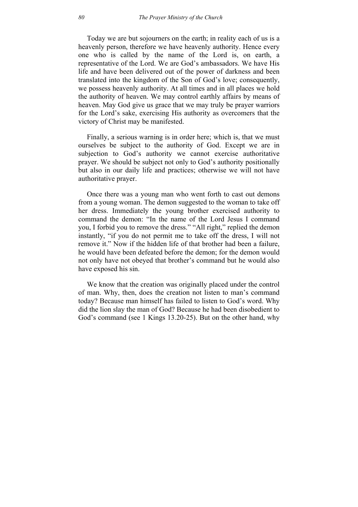Today we are but sojourners on the earth; in reality each of us is a heavenly person, therefore we have heavenly authority. Hence every one who is called by the name of the Lord is, on earth, a representative of the Lord. We are God's ambassadors. We have His life and have been delivered out of the power of darkness and been translated into the kingdom of the Son of God's love; consequently, we possess heavenly authority. At all times and in all places we hold the authority of heaven. We may control earthly affairs by means of heaven. May God give us grace that we may truly be prayer warriors for the Lord's sake, exercising His authority as overcomers that the victory of Christ may be manifested.

Finally, a serious warning is in order here; which is, that we must ourselves be subject to the authority of God. Except we are in subjection to God's authority we cannot exercise authoritative prayer. We should be subject not only to God's authority positionally but also in our daily life and practices; otherwise we will not have authoritative prayer.

Once there was a young man who went forth to cast out demons from a young woman. The demon suggested to the woman to take off her dress. Immediately the young brother exercised authority to command the demon: "In the name of the Lord Jesus I command you, I forbid you to remove the dress." "All right," replied the demon instantly, "if you do not permit me to take off the dress, I will not remove it." Now if the hidden life of that brother had been a failure, he would have been defeated before the demon; for the demon would not only have not obeyed that brother's command but he would also have exposed his sin.

We know that the creation was originally placed under the control of man. Why, then, does the creation not listen to man's command today? Because man himself has failed to listen to God's word. Why did the lion slay the man of God? Because he had been disobedient to God's command (see 1 Kings 13.20-25). But on the other hand, why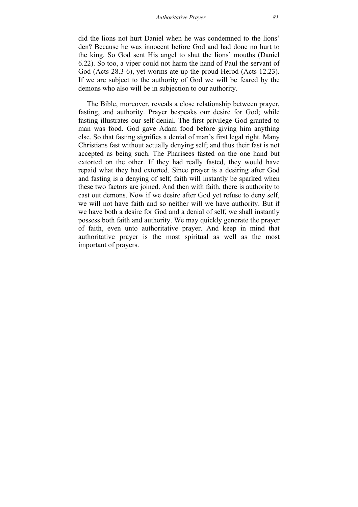did the lions not hurt Daniel when he was condemned to the lions' den? Because he was innocent before God and had done no hurt to the king. So God sent His angel to shut the lions' mouths (Daniel 6.22). So too, a viper could not harm the hand of Paul the servant of God (Acts 28.3-6), yet worms ate up the proud Herod (Acts 12.23). If we are subject to the authority of God we will be feared by the demons who also will be in subjection to our authority.

The Bible, moreover, reveals a close relationship between prayer, fasting, and authority. Prayer bespeaks our desire for God; while fasting illustrates our self-denial. The first privilege God granted to man was food. God gave Adam food before giving him anything else. So that fasting signifies a denial of man's first legal right. Many Christians fast without actually denying self; and thus their fast is not accepted as being such. The Pharisees fasted on the one hand but extorted on the other. If they had really fasted, they would have repaid what they had extorted. Since prayer is a desiring after God and fasting is a denying of self, faith will instantly be sparked when these two factors are joined. And then with faith, there is authority to cast out demons. Now if we desire after God yet refuse to deny self, we will not have faith and so neither will we have authority. But if we have both a desire for God and a denial of self, we shall instantly possess both faith and authority. We may quickly generate the prayer of faith, even unto authoritative prayer. And keep in mind that authoritative prayer is the most spiritual as well as the most important of prayers.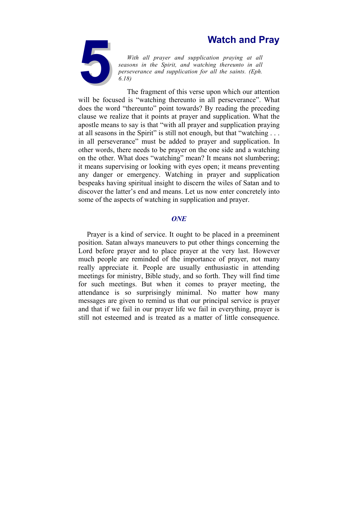

**5Which and Pray**<br>With all prayer and supplication praying at all seasons in the Spirit, and watching thereunto in all perseverance and supplication for all the saints. (Eph. 6.18)<br>The fragment of this verse upon which our *With all prayer and supplication praying at all seasons in the Spirit, and watching thereunto in all perseverance and supplication for all the saints. (Eph. 6.18)*

The fragment of this verse upon which our attention will be focused is "watching thereunto in all perseverance". What does the word "thereunto" point towards? By reading the preceding clause we realize that it points at prayer and supplication. What the apostle means to say is that "with all prayer and supplication praying at all seasons in the Spirit" is still not enough, but that "watching ... in all perseverance" must be added to prayer and supplication. In other words, there needs to be prayer on the one side and a watching on the other. What does "watching" mean? It means not slumbering; it means supervising or looking with eyes open; it means preventing any danger or emergency. Watching in prayer and supplication bespeaks having spiritual insight to discern the wiles of Satan and to discover the latter's end and means. Let us now enter concretely into some of the aspects of watching in supplication and prayer.

## *ONE*

Prayer is a kind of service. It ought to be placed in a preeminent position. Satan always maneuvers to put other things concerning the Lord before prayer and to place prayer at the very last. However much people are reminded of the importance of prayer, not many really appreciate it. People are usually enthusiastic in attending meetings for ministry, Bible study, and so forth. They will find time for such meetings. But when it comes to prayer meeting, the attendance is so surprisingly minimal. No matter how many messages are given to remind us that our principal service is prayer and that if we fail in our prayer life we fail in everything, prayer is still not esteemed and is treated as a matter of little consequence.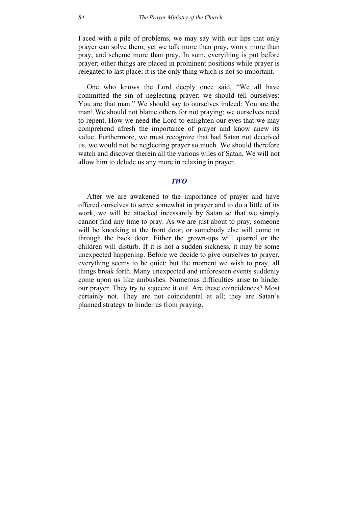Faced with a pile of problems, we may say with our lips that only prayer can solve them, yet we talk more than pray, worry more than pray, and scheme more than pray. In sum, everything is put before prayer; other things are placed in prominent positions while prayer is relegated to last place; it is the only thing which is not so important.

One who knows the Lord deeply once said, "We all have committed the sin of neglecting prayer; we should tell ourselves: You are that man." We should say to ourselves indeed: You are the man! We should not blame others for not praying; we ourselves need to repent. How we need the Lord to enlighten our eyes that we may comprehend afresh the importance of prayer and know anew its value. Furthermore, we must recognize that had Satan not deceived us, we would not be neglecting prayer so much. We should therefore watch and discover therein all the various wiles of Satan. We will not allow him to delude us any more in relaxing in prayer.

#### *TWO*

After we are awakened to the importance of prayer and have offered ourselves to serve somewhat in prayer and to do a little of its work, we will be attacked incessantly by Satan so that we simply cannot find any time to pray. As we are just about to pray, someone will be knocking at the front door, or somebody else will come in through the back door. Either the grown-ups will quarrel or the children will disturb. If it is not a sudden sickness, it may be some unexpected happening. Before we decide to give ourselves to prayer, everything seems to be quiet; but the moment we wish to pray, all things break forth. Many unexpected and unforeseen events suddenly come upon us like ambushes. Numerous difficulties arise to hinder our prayer. They try to squeeze it out. Are these coincidences? Most certainly not. They are not coincidental at all; they are Satan's planned strategy to hinder us from praying.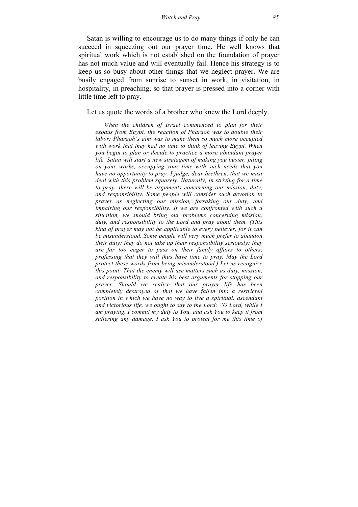Satan is willing to encourage us to do many things if only he can succeed in squeezing out our prayer time. He well knows that spiritual work which is not established on the foundation of prayer has not much value and will eventually fail. Hence his strategy is to keep us so busy about other things that we neglect prayer. We are busily engaged from sunrise to sunset in work, in visitation, in hospitality, in preaching, so that prayer is pressed into a corner with little time left to pray.

Let us quote the words of a brother who knew the Lord deeply.

*When the children of Israel commenced to plan for their exodus from Egypt, the reaction of Pharaoh was to double their labor; Pharaoh's aim was to make them so much more occupied with work that they had no time to think of leaving Egypt. When you begin to plan or decide to practice a more abundant prayer life, Satan will start a new stratagem of making you busier, piling on your works, occupying your time with such needs that you have no opportunity to pray. I judge, dear brethren, that we must deal with this problem squarely. Naturally, in striving for a time to pray, there will be arguments concerning our mission, duty, and responsibility. Some people will consider such devotion to prayer as neglecting our mission, forsaking our duty, and impairing our responsibility. If we are confronted with such a situation, we should bring our problems concerning mission, duty, and responsibility to the Lord and pray about them. (This kind of prayer may not be applicable to every believer, for it can be misunderstood. Some people will very much prefer to abandon their duty; they do not take up their responsibility seriously; they are far too eager to pass on their family affairs to others, professing that they will thus have time to pray. May the Lord protect these words from being misunderstood.) Let us recognize this point: That the enemy will use matters such as duty, mission, and responsibility to create his best arguments for stopping our prayer. Should we realize that our prayer life has been completely destroyed or that we have fallen into a restricted position in which we have no way to live a spiritual, ascendant and victorious life, we ought to say to the Lord: "O Lord, while I am praying, I commit my duty to You, and ask You to keep it from suffering any damage. I ask You to protect for me this time of*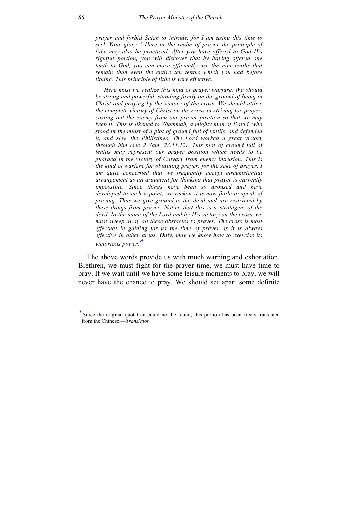*prayer and forbid Satan to intrude, for I am using this time to seek Your glory." Here in the realm of prayer the principle of tithe may also be practiced. After you have offered to God His rightful portion, you will discover that by having offered one tenth to God, you can more efficiently use the nine-tenths that remain than even the entire ten tenths which you had before tithing. This principle of tithe is very effective.* 

*Here must we realize this kind of prayer warfare. We should be strong and powerful, standing firmly on the ground of being in Christ and praying by the victory of the cross. We should utilize the complete victory of Christ on the cross in striving for prayer, casting out the enemy from our prayer position so that we may keep it. This is likened to Shammah, a mighty man of David, who stood in the midst of a plot of ground full of lentils, and defended it, and slew the Philistines. The Lord worked a great victory through him (see 2 Sam. 23.11,12). This plot of ground full of lentils may represent our prayer position which needs to be guarded in the victory of Calvary from enemy intrusion. This is the kind of warfare for obtaining prayer, for the sake of prayer. I am quite concerned that we frequently accept circumstantial arrangement as an argument for thinking that prayer is currently impossible. Since things have been so aroused and have developed to such a point, we reckon it is now futile to speak of praying. Thus we give ground to the devil and are restricted by these things from prayer. Notice that this is a stratagem of the devil. In the name of the Lord and by His victory on the cross, we must sweep away all these obstacles to prayer. The cross is most effectual in gaining for us the time of prayer as it is always effective in other areas. Only, may we know how to exercise its victorious power.*<sup>∗</sup>

The above words provide us with much warning and exhortation. Brethren, we must fight for the prayer time, we must have time to pray. If we wait until we have some leisure moments to pray, we will never have the chance to pray. We should set apart some definite

1

<sup>∗</sup> Since the original quotation could not be found, this portion has been freely translated from the Chinese.—*Translator*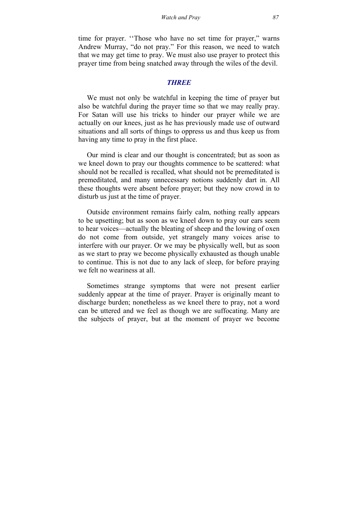time for prayer. ''Those who have no set time for prayer," warns Andrew Murray, "do not pray." For this reason, we need to watch that we may get time to pray. We must also use prayer to protect this prayer time from being snatched away through the wiles of the devil.

#### *THREE*

We must not only be watchful in keeping the time of prayer but also be watchful during the prayer time so that we may really pray. For Satan will use his tricks to hinder our prayer while we are actually on our knees, just as he has previously made use of outward situations and all sorts of things to oppress us and thus keep us from having any time to pray in the first place.

Our mind is clear and our thought is concentrated; but as soon as we kneel down to pray our thoughts commence to be scattered: what should not be recalled is recalled, what should not be premeditated is premeditated, and many unnecessary notions suddenly dart in. All these thoughts were absent before prayer; but they now crowd in to disturb us just at the time of prayer.

Outside environment remains fairly calm, nothing really appears to be upsetting; but as soon as we kneel down to pray our ears seem to hear voices—actually the bleating of sheep and the lowing of oxen do not come from outside, yet strangely many voices arise to interfere with our prayer. Or we may be physically well, but as soon as we start to pray we become physically exhausted as though unable to continue. This is not due to any lack of sleep, for before praying we felt no weariness at all.

Sometimes strange symptoms that were not present earlier suddenly appear at the time of prayer. Prayer is originally meant to discharge burden; nonetheless as we kneel there to pray, not a word can be uttered and we feel as though we are suffocating. Many are the subjects of prayer, but at the moment of prayer we become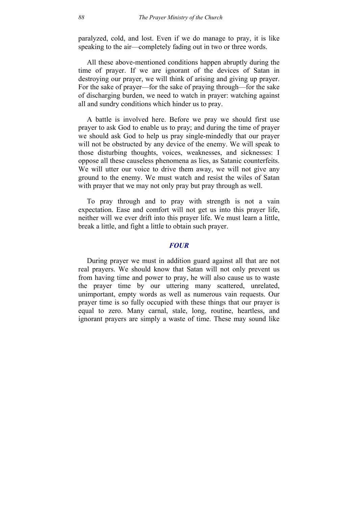paralyzed, cold, and lost. Even if we do manage to pray, it is like speaking to the air—completely fading out in two or three words.

All these above-mentioned conditions happen abruptly during the time of prayer. If we are ignorant of the devices of Satan in destroying our prayer, we will think of arising and giving up prayer. For the sake of prayer—for the sake of praying through—for the sake of discharging burden, we need to watch in prayer: watching against all and sundry conditions which hinder us to pray.

A battle is involved here. Before we pray we should first use prayer to ask God to enable us to pray; and during the time of prayer we should ask God to help us pray single-mindedly that our prayer will not be obstructed by any device of the enemy. We will speak to those disturbing thoughts, voices, weaknesses, and sicknesses: I oppose all these causeless phenomena as lies, as Satanic counterfeits. We will utter our voice to drive them away, we will not give any ground to the enemy. We must watch and resist the wiles of Satan with prayer that we may not only pray but pray through as well.

To pray through and to pray with strength is not a vain expectation. Ease and comfort will not get us into this prayer life, neither will we ever drift into this prayer life. We must learn a little, break a little, and fight a little to obtain such prayer.

## *FOUR*

During prayer we must in addition guard against all that are not real prayers. We should know that Satan will not only prevent us from having time and power to pray, he will also cause us to waste the prayer time by our uttering many scattered, unrelated, unimportant, empty words as well as numerous vain requests. Our prayer time is so fully occupied with these things that our prayer is equal to zero. Many carnal, stale, long, routine, heartless, and ignorant prayers are simply a waste of time. These may sound like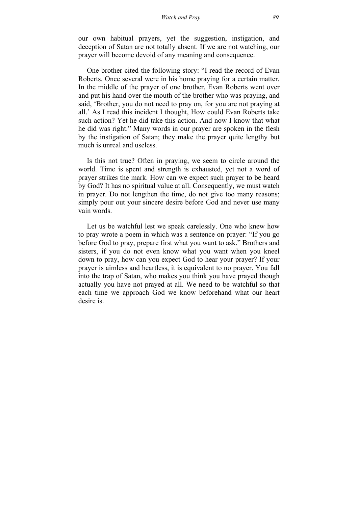our own habitual prayers, yet the suggestion, instigation, and deception of Satan are not totally absent. If we are not watching, our prayer will become devoid of any meaning and consequence.

One brother cited the following story: "I read the record of Evan Roberts. Once several were in his home praying for a certain matter. In the middle of the prayer of one brother, Evan Roberts went over and put his hand over the mouth of the brother who was praying, and said, 'Brother, you do not need to pray on, for you are not praying at all.' As I read this incident I thought, How could Evan Roberts take such action? Yet he did take this action. And now I know that what he did was right." Many words in our prayer are spoken in the flesh by the instigation of Satan; they make the prayer quite lengthy but much is unreal and useless.

Is this not true? Often in praying, we seem to circle around the world. Time is spent and strength is exhausted, yet not a word of prayer strikes the mark. How can we expect such prayer to be heard by God? It has no spiritual value at all. Consequently, we must watch in prayer. Do not lengthen the time, do not give too many reasons; simply pour out your sincere desire before God and never use many vain words.

Let us be watchful lest we speak carelessly. One who knew how to pray wrote a poem in which was a sentence on prayer: "If you go before God to pray, prepare first what you want to ask." Brothers and sisters, if you do not even know what you want when you kneel down to pray, how can you expect God to hear your prayer? If your prayer is aimless and heartless, it is equivalent to no prayer. You fall into the trap of Satan, who makes you think you have prayed though actually you have not prayed at all. We need to be watchful so that each time we approach God we know beforehand what our heart desire is.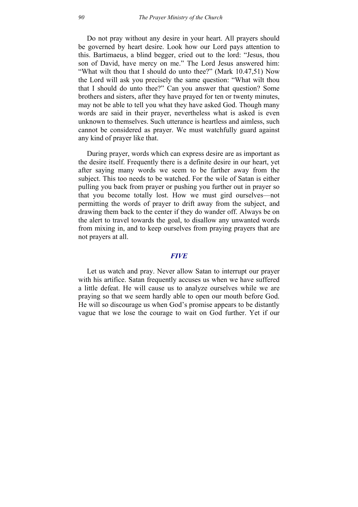Do not pray without any desire in your heart. All prayers should be governed by heart desire. Look how our Lord pays attention to this. Bartimaeus, a blind begger, cried out to the lord: "Jesus, thou son of David, have mercy on me." The Lord Jesus answered him: "What wilt thou that I should do unto thee?" (Mark 10.47,51) Now the Lord will ask you precisely the same question: "What wilt thou that I should do unto thee?" Can you answer that question? Some brothers and sisters, after they have prayed for ten or twenty minutes, may not be able to tell you what they have asked God. Though many words are said in their prayer, nevertheless what is asked is even unknown to themselves. Such utterance is heartless and aimless, such cannot be considered as prayer. We must watchfully guard against any kind of prayer like that.

During prayer, words which can express desire are as important as the desire itself. Frequently there is a definite desire in our heart, yet after saying many words we seem to be farther away from the subject. This too needs to be watched. For the wile of Satan is either pulling you back from prayer or pushing you further out in prayer so that you become totally lost. How we must gird ourselves—not permitting the words of prayer to drift away from the subject, and drawing them back to the center if they do wander off. Always be on the alert to travel towards the goal, to disallow any unwanted words from mixing in, and to keep ourselves from praying prayers that are not prayers at all.

#### *FIVE*

Let us watch and pray. Never allow Satan to interrupt our prayer with his artifice. Satan frequently accuses us when we have suffered a little defeat. He will cause us to analyze ourselves while we are praying so that we seem hardly able to open our mouth before God. He will so discourage us when God's promise appears to be distantly vague that we lose the courage to wait on God further. Yet if our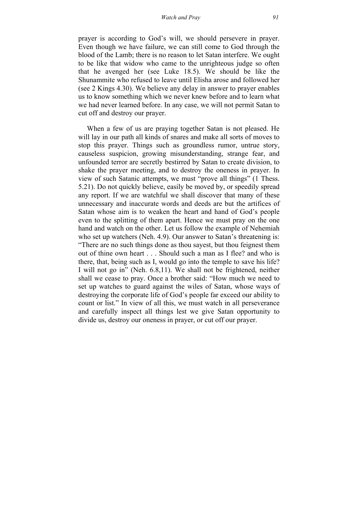prayer is according to God's will, we should persevere in prayer. Even though we have failure, we can still come to God through the blood of the Lamb; there is no reason to let Satan interfere. We ought to be like that widow who came to the unrighteous judge so often that he avenged her (see Luke 18.5). We should be like the Shunammite who refused to leave until Elisha arose and followed her (see 2 Kings 4.30). We believe any delay in answer to prayer enables us to know something which we never knew before and to learn what we had never learned before. In any case, we will not permit Satan to cut off and destroy our prayer.

When a few of us are praying together Satan is not pleased. He will lay in our path all kinds of snares and make all sorts of moves to stop this prayer. Things such as groundless rumor, untrue story, causeless suspicion, growing misunderstanding, strange fear, and unfounded terror are secretly bestirred by Satan to create division, to shake the prayer meeting, and to destroy the oneness in prayer. In view of such Satanic attempts, we must "prove all things" (1 Thess. 5.21). Do not quickly believe, easily be moved by, or speedily spread any report. If we are watchful we shall discover that many of these unnecessary and inaccurate words and deeds are but the artifices of Satan whose aim is to weaken the heart and hand of God's people even to the splitting of them apart. Hence we must pray on the one hand and watch on the other. Let us follow the example of Nehemiah who set up watchers (Neh. 4.9). Our answer to Satan's threatening is: "There are no such things done as thou sayest, but thou feignest them out of thine own heart . . . Should such a man as I flee? and who is there, that, being such as I, would go into the temple to save his life? I will not go in" (Neh. 6.8,11). We shall not be frightened, neither shall we cease to pray. Once a brother said: "How much we need to set up watches to guard against the wiles of Satan, whose ways of destroying the corporate life of God's people far exceed our ability to count or list." In view of all this, we must watch in all perseverance and carefully inspect all things lest we give Satan opportunity to divide us, destroy our oneness in prayer, or cut off our prayer.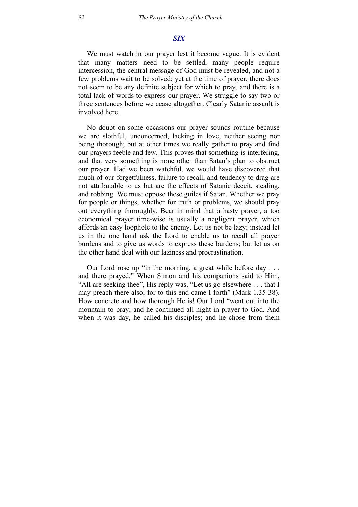#### *SIX*

We must watch in our prayer lest it become vague. It is evident that many matters need to be settled, many people require intercession, the central message of God must be revealed, and not a few problems wait to be solved; yet at the time of prayer, there does not seem to be any definite subject for which to pray, and there is a total lack of words to express our prayer. We struggle to say two or three sentences before we cease altogether. Clearly Satanic assault is involved here.

No doubt on some occasions our prayer sounds routine because we are slothful, unconcerned, lacking in love, neither seeing nor being thorough; but at other times we really gather to pray and find our prayers feeble and few. This proves that something is interfering, and that very something is none other than Satan's plan to obstruct our prayer. Had we been watchful, we would have discovered that much of our forgetfulness, failure to recall, and tendency to drag are not attributable to us but are the effects of Satanic deceit, stealing, and robbing. We must oppose these guiles if Satan. Whether we pray for people or things, whether for truth or problems, we should pray out everything thoroughly. Bear in mind that a hasty prayer, a too economical prayer time-wise is usually a negligent prayer, which affords an easy loophole to the enemy. Let us not be lazy; instead let us in the one hand ask the Lord to enable us to recall all prayer burdens and to give us words to express these burdens; but let us on the other hand deal with our laziness and procrastination.

Our Lord rose up "in the morning, a great while before day . . . and there prayed." When Simon and his companions said to Him, "All are seeking thee", His reply was, "Let us go elsewhere . . . that I may preach there also; for to this end came I forth" (Mark 1.35-38). How concrete and how thorough He is! Our Lord "went out into the mountain to pray; and he continued all night in prayer to God. And when it was day, he called his disciples; and he chose from them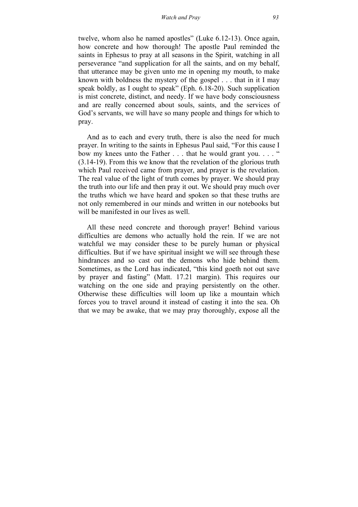twelve, whom also he named apostles" (Luke 6.12-13). Once again, how concrete and how thorough! The apostle Paul reminded the saints in Ephesus to pray at all seasons in the Spirit, watching in all perseverance "and supplication for all the saints, and on my behalf, that utterance may be given unto me in opening my mouth, to make known with boldness the mystery of the gospel . . . that in it I may speak boldly, as I ought to speak" (Eph. 6.18-20). Such supplication is mist concrete, distinct, and needy. If we have body consciousness and are really concerned about souls, saints, and the services of God's servants, we will have so many people and things for which to pray.

And as to each and every truth, there is also the need for much prayer. In writing to the saints in Ephesus Paul said, "For this cause I bow my knees unto the Father . . . that he would grant you. . . . " (3.14-19). From this we know that the revelation of the glorious truth which Paul received came from prayer, and prayer is the revelation. The real value of the light of truth comes by prayer. We should pray the truth into our life and then pray it out. We should pray much over the truths which we have heard and spoken so that these truths are not only remembered in our minds and written in our notebooks but will be manifested in our lives as well.

All these need concrete and thorough prayer! Behind various difficulties are demons who actually hold the rein. If we are not watchful we may consider these to be purely human or physical difficulties. But if we have spiritual insight we will see through these hindrances and so cast out the demons who hide behind them. Sometimes, as the Lord has indicated, "this kind goeth not out save by prayer and fasting" (Matt. 17.21 margin). This requires our watching on the one side and praying persistently on the other. Otherwise these difficulties will loom up like a mountain which forces you to travel around it instead of casting it into the sea. Oh that we may be awake, that we may pray thoroughly, expose all the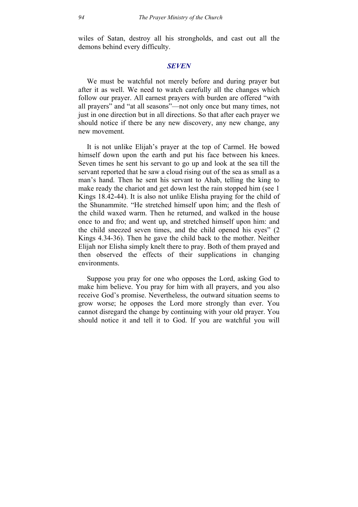wiles of Satan, destroy all his strongholds, and cast out all the demons behind every difficulty.

#### *SEVEN*

We must be watchful not merely before and during prayer but after it as well. We need to watch carefully all the changes which follow our prayer. All earnest prayers with burden are offered "with all prayers" and "at all seasons"—not only once but many times, not just in one direction but in all directions. So that after each prayer we should notice if there be any new discovery, any new change, any new movement.

It is not unlike Elijah's prayer at the top of Carmel. He bowed himself down upon the earth and put his face between his knees. Seven times he sent his servant to go up and look at the sea till the servant reported that he saw a cloud rising out of the sea as small as a man's hand. Then he sent his servant to Ahab, telling the king to make ready the chariot and get down lest the rain stopped him (see 1) Kings 18.42-44). It is also not unlike Elisha praying for the child of the Shunammite. "He stretched himself upon him; and the flesh of the child waxed warm. Then he returned, and walked in the house once to and fro; and went up, and stretched himself upon him: and the child sneezed seven times, and the child opened his eyes" (2 Kings 4.34-36). Then he gave the child back to the mother. Neither Elijah nor Elisha simply knelt there to pray. Both of them prayed and then observed the effects of their supplications in changing environments.

Suppose you pray for one who opposes the Lord, asking God to make him believe. You pray for him with all prayers, and you also receive God's promise. Nevertheless, the outward situation seems to grow worse; he opposes the Lord more strongly than ever. You cannot disregard the change by continuing with your old prayer. You should notice it and tell it to God. If you are watchful you will